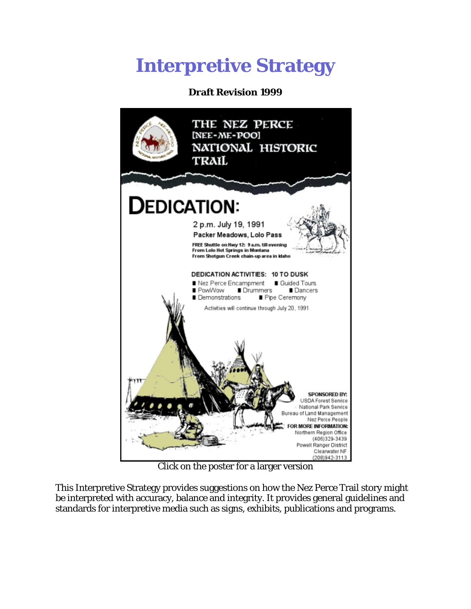# **Interpretive Strategy**

# **Draft Revision 1999**



Click on the poster for a larger version

This Interpretive Strategy provides suggestions on how the Nez Perce Trail story might be interpreted with accuracy, balance and integrity. It provides general guidelines and standards for interpretive media such as signs, exhibits, publications and programs.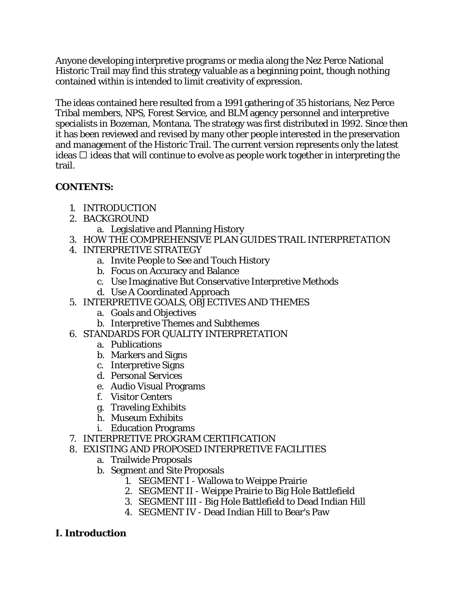Anyone developing interpretive programs or media along the Nez Perce National Historic Trail may find this strategy valuable as a beginning point, though nothing contained within is intended to limit creativity of expression.

The ideas contained here resulted from a 1991 gathering of 35 historians, Nez Perce Tribal members, NPS, Forest Service, and BLM agency personnel and interpretive specialists in Bozeman, Montana. The strategy was first distributed in 1992. Since then it has been reviewed and revised by many other people interested in the preservation and management of the Historic Trail. The current version represents only the latest ideas  $\Box$  ideas that will continue to evolve as people work together in interpreting the trail.

# **CONTENTS:**

- 1. INTRODUCTION
- 2. BACKGROUND
	- a. Legislative and Planning History
- 3. HOW THE COMPREHENSIVE PLAN GUIDES TRAIL INTERPRETATION
- 4. INTERPRETIVE STRATEGY
	- a. Invite People to See and Touch History
	- b. Focus on Accuracy and Balance
	- c. Use Imaginative But Conservative Interpretive Methods
	- d. Use A Coordinated Approach
- 5. INTERPRETIVE GOALS, OBJECTIVES AND THEMES
	- a. Goals and Objectives
	- b. Interpretive Themes and Subthemes
- 6. STANDARDS FOR QUALITY INTERPRETATION
	- a. Publications
	- b. Markers and Signs
	- c. Interpretive Signs
	- d. Personal Services
	- e. Audio Visual Programs
	- f. Visitor Centers
	- g. Traveling Exhibits
	- h. Museum Exhibits
	- i. Education Programs
- 7. INTERPRETIVE PROGRAM CERTIFICATION
- 8. EXISTING AND PROPOSED INTERPRETIVE FACILITIES
	- a. Trailwide Proposals
	- b. Segment and Site Proposals
		- 1. SEGMENT I Wallowa to Weippe Prairie
		- 2. SEGMENT II Weippe Prairie to Big Hole Battlefield
		- 3. SEGMENT III Big Hole Battlefield to Dead Indian Hill
		- 4. SEGMENT IV Dead Indian Hill to Bear's Paw

# **I. Introduction**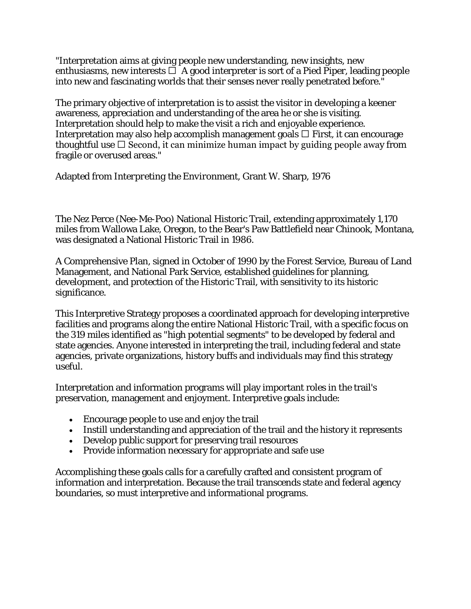"Interpretation aims at giving people new understanding, new insights, new enthusiasms, new interests  $\Box$  A good interpreter is sort of a Pied Piper, leading people into new and fascinating worlds that their senses never really penetrated before."

The primary objective of interpretation is to assist the visitor in developing a keener awareness, appreciation and understanding of the area he or she is visiting. Interpretation should help to make the visit a rich and enjoyable experience. Interpretation may also help accomplish management goals  $\Box$  First, it can encourage thoughtful use  $\Box$  Second, it can minimize human impact by guiding people away from fragile or overused areas."

Adapted from *Interpreting the Environment*, Grant W. Sharp, 1976

The Nez Perce (Nee-Me-Poo) National Historic Trail, extending approximately 1,170 miles from Wallowa Lake, Oregon, to the Bear's Paw Battlefield near Chinook, Montana, was designated a National Historic Trail in 1986.

A Comprehensive Plan, signed in October of 1990 by the Forest Service, Bureau of Land Management, and National Park Service, established guidelines for planning, development, and protection of the Historic Trail, with sensitivity to its historic significance.

This Interpretive Strategy proposes a coordinated approach for developing interpretive facilities and programs along the entire National Historic Trail, with a specific focus on the 319 miles identified as "high potential segments" to be developed by federal and state agencies. Anyone interested in interpreting the trail, including federal and state agencies, private organizations, history buffs and individuals may find this strategy useful.

Interpretation and information programs will play important roles in the trail's preservation, management and enjoyment. Interpretive goals include:

- Encourage people to use and enjoy the trail
- Instill understanding and appreciation of the trail and the history it represents
- Develop public support for preserving trail resources
- Provide information necessary for appropriate and safe use

Accomplishing these goals calls for a carefully crafted and consistent program of information and interpretation. Because the trail transcends state and federal agency boundaries, so must interpretive and informational programs.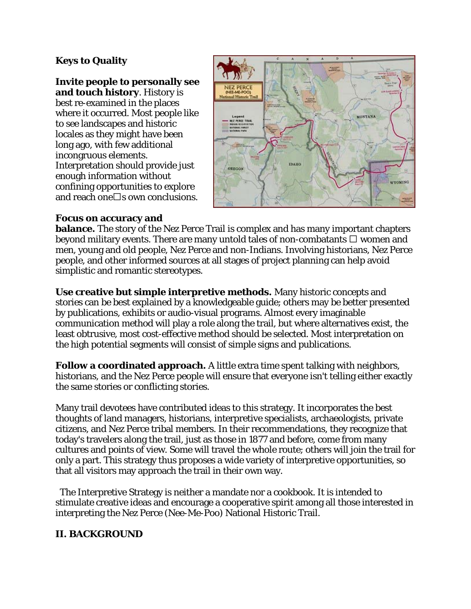# **Keys to Quality**

#### **Invite people to personally see**

**and touch history**. History is best re-examined in the places where it occurred. Most people like to see landscapes and historic locales as they might have been long ago, with few additional incongruous elements. Interpretation should provide just enough information without confining opportunities to explore and reach one  $\Box$ s own conclusions.



#### **Focus on accuracy and**

**balance.** The story of the Nez Perce Trail is complex and has many important chapters beyond military events. There are many untold tales of non-combatants  $\Box$  women and men, young and old people, Nez Perce and non-Indians. Involving historians, Nez Perce people, and other informed sources at all stages of project planning can help avoid simplistic and romantic stereotypes.

**Use creative but simple interpretive methods.** Many historic concepts and stories can be best explained by a knowledgeable guide; others may be better presented by publications, exhibits or audio-visual programs. Almost every imaginable communication method will play a role along the trail, but where alternatives exist, the least obtrusive, most cost-effective method should be selected. Most interpretation on the high potential segments will consist of simple signs and publications.

**Follow a coordinated approach.** A little extra time spent talking with neighbors, historians, and the Nez Perce people will ensure that everyone isn't telling either exactly the same stories or conflicting stories.

Many trail devotees have contributed ideas to this strategy. It incorporates the best thoughts of land managers, historians, interpretive specialists, archaeologists, private citizens, and Nez Perce tribal members. In their recommendations, they recognize that today's travelers along the trail, just as those in 1877 and before, come from many cultures and points of view. Some will travel the whole route; others will join the trail for only a part. This strategy thus proposes a wide variety of interpretive opportunities, so that all visitors may approach the trail in their own way.

The Interpretive Strategy is neither a mandate nor a cookbook. It is intended to stimulate creative ideas and encourage a cooperative spirit among all those interested in interpreting the Nez Perce (Nee-Me-Poo) National Historic Trail.

# **II. BACKGROUND**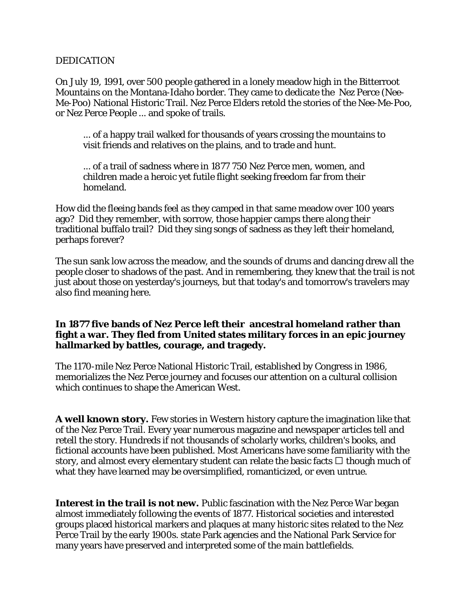#### DEDICATION

On July 19, 1991, over 500 people gathered in a lonely meadow high in the Bitterroot Mountains on the Montana-Idaho border. They came to dedicate the Nez Perce (Nee-Me-Poo) National Historic Trail. Nez Perce Elders retold the stories of the Nee-Me-Poo, or Nez Perce People ... and spoke of trails.

... of a happy trail walked for thousands of years crossing the mountains to visit friends and relatives on the plains, and to trade and hunt.

... of a trail of sadness where in 1877 750 Nez Perce men, women, and children made a heroic yet futile flight seeking freedom far from their homeland.

How did the fleeing bands feel as they camped in that same meadow over 100 years ago? Did they remember, with sorrow, those happier camps there along their traditional buffalo trail? Did they sing songs of sadness as they left their homeland, perhaps forever?

The sun sank low across the meadow, and the sounds of drums and dancing drew all the people closer to shadows of the past. And in remembering, they knew that the trail is not just about those on yesterday's journeys, but that today's and tomorrow's travelers may also find meaning here.

#### **In 1877 five bands of Nez Perce left their ancestral homeland rather than fight a war. They fled from United states military forces in an epic journey hallmarked by battles, courage, and tragedy.**

The 1170-mile Nez Perce National Historic Trail, established by Congress in 1986, memorializes the Nez Perce journey and focuses our attention on a cultural collision which continues to shape the American West.

**A well known story.** Few stories in Western history capture the imagination like that of the Nez Perce Trail. Every year numerous magazine and newspaper articles tell and retell the story. Hundreds if not thousands of scholarly works, children's books, and fictional accounts have been published. Most Americans have some familiarity with the story, and almost every elementary student can relate the basic facts  $\Box$  though much of what they have learned may be oversimplified, romanticized, or even untrue.

**Interest in the trail is not new.** Public fascination with the Nez Perce War began almost immediately following the events of 1877. Historical societies and interested groups placed historical markers and plaques at many historic sites related to the Nez Perce Trail by the early 1900s. state Park agencies and the National Park Service for many years have preserved and interpreted some of the main battlefields.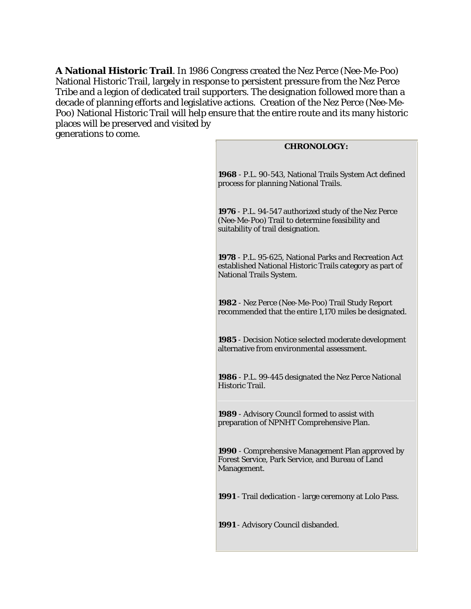**A National Historic Trail**. In 1986 Congress created the Nez Perce (Nee-Me-Poo) National Historic Trail, largely in response to persistent pressure from the Nez Perce Tribe and a legion of dedicated trail supporters. The designation followed more than a decade of planning efforts and legislative actions. Creation of the Nez Perce (Nee-Me-Poo) National Historic Trail will help ensure that the entire route and its many historic places will be preserved and visited by generations to come.

#### **CHRONOLOGY:**

**1968** - P.L. 90-543, National Trails System Act defined process for planning National Trails.

**1976** - P.L. 94-547 authorized study of the Nez Perce (Nee-Me-Poo) Trail to determine feasibility and suitability of trail designation.

**1978** - P.L. 95-625, National Parks and Recreation Act established National Historic Trails category as part of National Trails System.

**1982** - Nez Perce (Nee-Me-Poo) Trail Study Report recommended that the entire 1,170 miles be designated.

**1985** - Decision Notice selected moderate development alternative from environmental assessment.

**1986** - P.L. 99-445 designated the Nez Perce National Historic Trail.

**1989** - Advisory Council formed to assist with preparation of NPNHT Comprehensive Plan.

**1990** - Comprehensive Management Plan approved by Forest Service, Park Service, and Bureau of Land Management.

**1991** - Trail dedication - large ceremony at Lolo Pass.

**1991** - Advisory Council disbanded.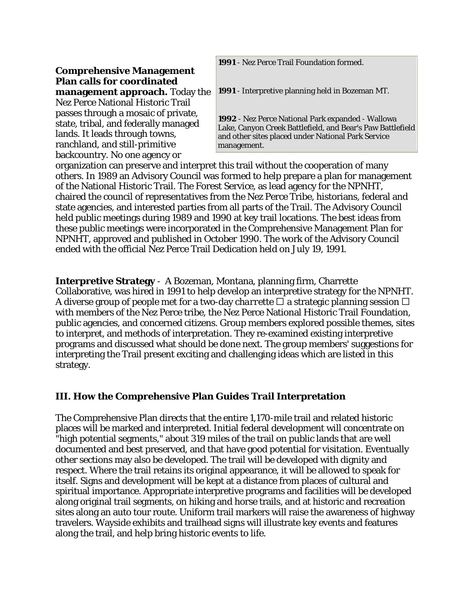**1991** - Nez Perce Trail Foundation formed.

#### **Comprehensive Management Plan calls for coordinated management approach.** Today the Nez Perce National Historic Trail passes through a mosaic of private, state, tribal, and federally managed lands. It leads through towns, ranchland, and still-primitive backcountry. No one agency or

**1991** - Interpretive planning held in Bozeman MT.

**1992** - Nez Perce National Park expanded - Wallowa Lake, Canyon Creek Battlefield, and Bear's Paw Battlefield and other sites placed under National Park Service management.

organization can preserve and interpret this trail without the cooperation of many others. In 1989 an Advisory Council was formed to help prepare a plan for management of the National Historic Trail. The Forest Service, as lead agency for the NPNHT, chaired the council of representatives from the Nez Perce Tribe, historians, federal and state agencies, and interested parties from all parts of the Trail. The Advisory Council held public meetings during 1989 and 1990 at key trail locations. The best ideas from these public meetings were incorporated in the Comprehensive Management Plan for NPNHT, approved and published in October 1990. The work of the Advisory Council ended with the official Nez Perce Trail Dedication held on July 19, 1991.

**Interpretive Strategy** - A Bozeman, Montana, planning firm, Charrette Collaborative, was hired in 1991 to help develop an interpretive strategy for the NPNHT. A diverse group of people met for a two-day *charrette*  $\Box$  a strategic planning session  $\Box$ with members of the Nez Perce tribe, the Nez Perce National Historic Trail Foundation, public agencies, and concerned citizens. Group members explored possible themes, sites to interpret, and methods of interpretation. They re-examined existing interpretive programs and discussed what should be done next. The group members' suggestions for interpreting the Trail present exciting and challenging ideas which are listed in this strategy.

# **III. How the Comprehensive Plan Guides Trail Interpretation**

The Comprehensive Plan directs that the entire 1,170-mile trail and related historic places will be marked and interpreted. Initial federal development will concentrate on "high potential segments," about 319 miles of the trail on public lands that are well documented and best preserved, and that have good potential for visitation. Eventually other sections may also be developed. The trail will be developed with dignity and respect. Where the trail retains its original appearance, it will be allowed to speak for itself. Signs and development will be kept at a distance from places of cultural and spiritual importance. Appropriate interpretive programs and facilities will be developed along original trail segments, on hiking and horse trails, and at historic and recreation sites along an auto tour route. Uniform trail markers will raise the awareness of highway travelers. Wayside exhibits and trailhead signs will illustrate key events and features along the trail, and help bring historic events to life.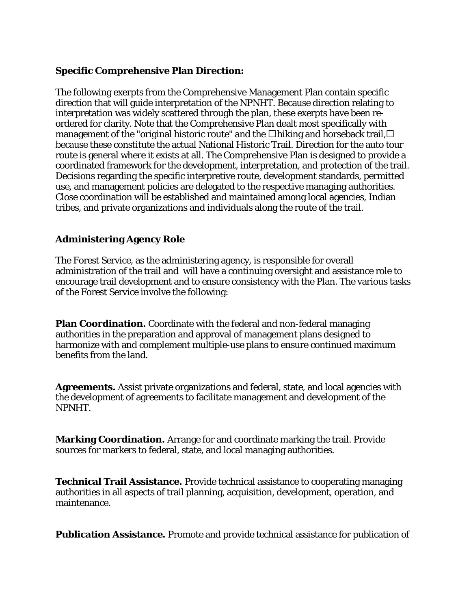#### **Specific Comprehensive Plan Direction:**

The following exerpts from the Comprehensive Management Plan contain specific direction that will guide interpretation of the NPNHT. Because direction relating to interpretation was widely scattered through the plan, these exerpts have been reordered for clarity. Note that the Comprehensive Plan dealt most specifically with management of the "original historic route" and the  $\Box$  hiking and horseback trail,  $\Box$ because these constitute the actual National Historic Trail. Direction for the auto tour route is general where it exists at all. The Comprehensive Plan is designed to provide a coordinated framework for the development, interpretation, and protection of the trail. Decisions regarding the specific interpretive route, development standards, permitted use, and management policies are delegated to the respective managing authorities. Close coordination will be established and maintained among local agencies, Indian tribes, and private organizations and individuals along the route of the trail.

# **Administering Agency Role**

The Forest Service, as the administering agency, is responsible for overall administration of the trail and will have a continuing oversight and assistance role to encourage trail development and to ensure consistency with the Plan. The various tasks of the Forest Service involve the following:

**Plan Coordination.** Coordinate with the federal and non-federal managing authorities in the preparation and approval of management plans designed to harmonize with and complement multiple-use plans to ensure continued maximum benefits from the land.

**Agreements.** Assist private organizations and federal, state, and local agencies with the development of agreements to facilitate management and development of the NPNHT.

**Marking Coordination.** Arrange for and coordinate marking the trail. Provide sources for markers to federal, state, and local managing authorities.

**Technical Trail Assistance.** Provide technical assistance to cooperating managing authorities in all aspects of trail planning, acquisition, development, operation, and maintenance.

**Publication Assistance.** Promote and provide technical assistance for publication of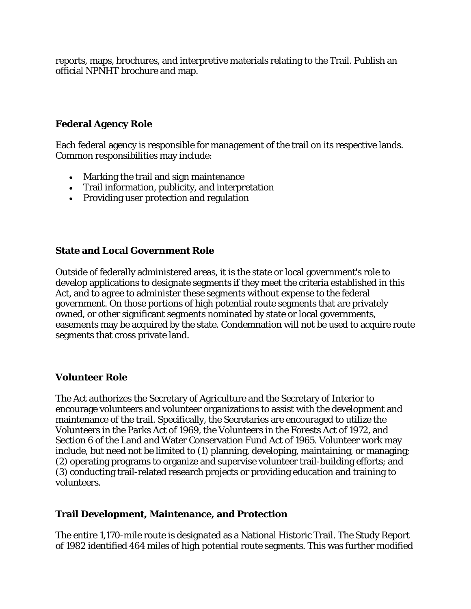reports, maps, brochures, and interpretive materials relating to the Trail. Publish an official NPNHT brochure and map.

#### **Federal Agency Role**

Each federal agency is responsible for management of the trail on its respective lands. Common responsibilities may include:

- Marking the trail and sign maintenance
- Trail information, publicity, and interpretation
- Providing user protection and regulation

#### **State and Local Government Role**

Outside of federally administered areas, it is the state or local government's role to develop applications to designate segments if they meet the criteria established in this Act, and to agree to administer these segments without expense to the federal government. On those portions of high potential route segments that are privately owned, or other significant segments nominated by state or local governments, easements may be acquired by the state. Condemnation will not be used to acquire route segments that cross private land.

#### **Volunteer Role**

The Act authorizes the Secretary of Agriculture and the Secretary of Interior to encourage volunteers and volunteer organizations to assist with the development and maintenance of the trail. Specifically, the Secretaries are encouraged to utilize the Volunteers in the Parks Act of 1969, the Volunteers in the Forests Act of 1972, and Section 6 of the Land and Water Conservation Fund Act of 1965. Volunteer work may include, but need not be limited to (1) planning, developing, maintaining, or managing; (2) operating programs to organize and supervise volunteer trail-building efforts; and (3) conducting trail-related research projects or providing education and training to volunteers.

#### **Trail Development, Maintenance, and Protection**

The entire 1,170-mile route is designated as a National Historic Trail. The Study Report of 1982 identified 464 miles of high potential route segments. This was further modified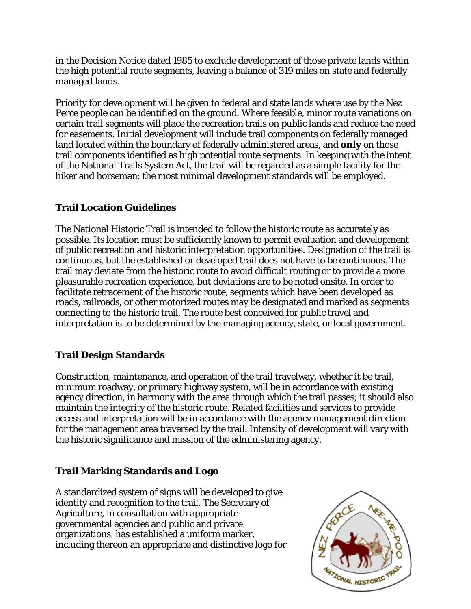in the Decision Notice dated 1985 to exclude development of those private lands within the high potential route segments, leaving a balance of 319 miles on state and federally managed lands.

Priority for development will be given to federal and state lands where use by the Nez Perce people can be identified on the ground. Where feasible, minor route variations on certain trail segments will place the recreation trails on public lands and reduce the need for easements. Initial development will include trail components on federally managed land located within the boundary of federally administered areas, and **only** on those trail components identified as high potential route segments. In keeping with the intent of the National Trails System Act, the trail will be regarded as a simple facility for the hiker and horseman; the most minimal development standards will be employed.

# **Trail Location Guidelines**

The National Historic Trail is intended to follow the historic route as accurately as possible. Its location must be sufficiently known to permit evaluation and development of public recreation and historic interpretation opportunities. Designation of the trail is continuous, but the established or developed trail does not have to be continuous. The trail may deviate from the historic route to avoid difficult routing or to provide a more pleasurable recreation experience, but deviations are to be noted onsite. In order to facilitate retracement of the historic route, segments which have been developed as roads, railroads, or other motorized routes may be designated and marked as segments connecting to the historic trail. The route best conceived for public travel and interpretation is to be determined by the managing agency, state, or local government.

# **Trail Design Standards**

Construction, maintenance, and operation of the trail travelway, whether it be trail, minimum roadway, or primary highway system, will be in accordance with existing agency direction, in harmony with the area through which the trail passes; it should also maintain the integrity of the historic route. Related facilities and services to provide access and interpretation will be in accordance with the agency management direction for the management area traversed by the trail. Intensity of development will vary with the historic significance and mission of the administering agency.

# **Trail Marking Standards and Logo**

A standardized system of signs will be developed to give identity and recognition to the trail. The Secretary of Agriculture, in consultation with appropriate governmental agencies and public and private organizations, has established a uniform marker, including thereon an appropriate and distinctive logo for

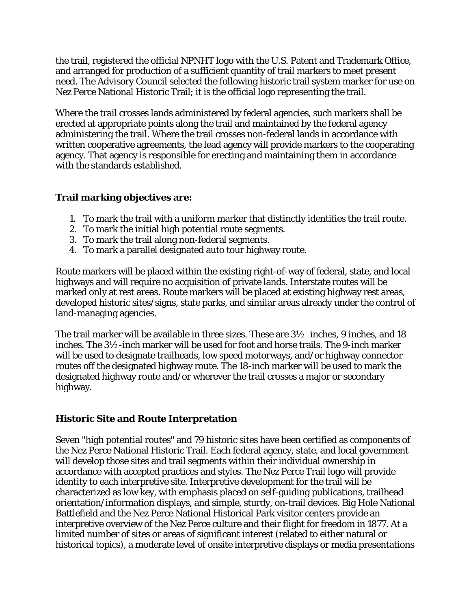the trail, registered the official NPNHT logo with the U.S. Patent and Trademark Office, and arranged for production of a sufficient quantity of trail markers to meet present need. The Advisory Council selected the following historic trail system marker for use on Nez Perce National Historic Trail; it is the official logo representing the trail.

Where the trail crosses lands administered by federal agencies, such markers shall be erected at appropriate points along the trail and maintained by the federal agency administering the trail. Where the trail crosses non-federal lands in accordance with written cooperative agreements, the lead agency will provide markers to the cooperating agency. That agency is responsible for erecting and maintaining them in accordance with the standards established.

# **Trail marking objectives are:**

- 1. To mark the trail with a uniform marker that distinctly identifies the trail route.
- 2. To mark the initial high potential route segments.
- 3. To mark the trail along non-federal segments.
- 4. To mark a parallel designated auto tour highway route.

Route markers will be placed within the existing right-of-way of federal, state, and local highways and will require no acquisition of private lands. Interstate routes will be marked only at rest areas. Route markers will be placed at existing highway rest areas, developed historic sites/signs, state parks, and similar areas already under the control of land-managing agencies.

The trail marker will be available in three sizes. These are  $3\frac{1}{2}$  inches, 9 inches, and 18 inches. The 3½-inch marker will be used for foot and horse trails. The 9-inch marker will be used to designate trailheads, low speed motorways, and/or highway connector routes off the designated highway route. The 18-inch marker will be used to mark the designated highway route and/or wherever the trail crosses a major or secondary highway.

# **Historic Site and Route Interpretation**

Seven "high potential routes" and 79 historic sites have been certified as components of the Nez Perce National Historic Trail. Each federal agency, state, and local government will develop those sites and trail segments within their individual ownership in accordance with accepted practices and styles. The Nez Perce Trail logo will provide identity to each interpretive site. Interpretive development for the trail will be characterized as low key, with emphasis placed on self-guiding publications, trailhead orientation/information displays, and simple, sturdy, on-trail devices. Big Hole National Battlefield and the Nez Perce National Historical Park visitor centers provide an interpretive overview of the Nez Perce culture and their flight for freedom in 1877. At a limited number of sites or areas of significant interest (related to either natural or historical topics), a moderate level of onsite interpretive displays or media presentations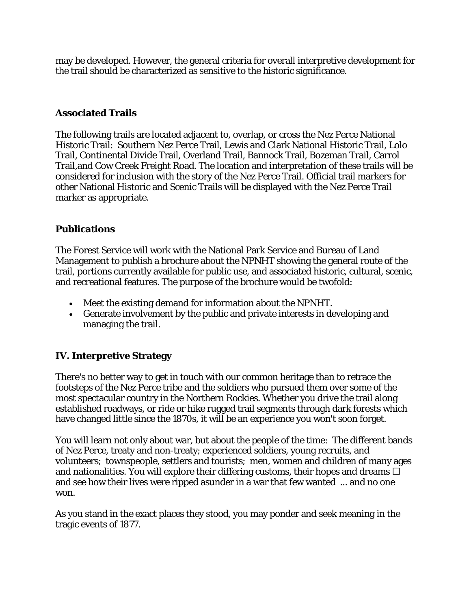may be developed. However, the general criteria for overall interpretive development for the trail should be characterized as sensitive to the historic significance.

# **Associated Trails**

The following trails are located adjacent to, overlap, or cross the Nez Perce National Historic Trail: Southern Nez Perce Trail, Lewis and Clark National Historic Trail, Lolo Trail, Continental Divide Trail, Overland Trail, Bannock Trail, Bozeman Trail, Carrol Trail,and Cow Creek Freight Road. The location and interpretation of these trails will be considered for inclusion with the story of the Nez Perce Trail. Official trail markers for other National Historic and Scenic Trails will be displayed with the Nez Perce Trail marker as appropriate.

#### **Publications**

The Forest Service will work with the National Park Service and Bureau of Land Management to publish a brochure about the NPNHT showing the general route of the trail, portions currently available for public use, and associated historic, cultural, scenic, and recreational features. The purpose of the brochure would be twofold:

- Meet the existing demand for information about the NPNHT.
- Generate involvement by the public and private interests in developing and managing the trail.

# **IV. Interpretive Strategy**

There's no better way to get in touch with our common heritage than to retrace the footsteps of the Nez Perce tribe and the soldiers who pursued them over some of the most spectacular country in the Northern Rockies. Whether you drive the trail along established roadways, or ride or hike rugged trail segments through dark forests which have changed little since the 1870s, it will be an experience you won't soon forget.

You will learn not only about war, but about the people of the time: The different bands of Nez Perce, treaty and non-treaty; experienced soldiers, young recruits, and volunteers; townspeople, settlers and tourists; men, women and children of many ages and nationalities. You will explore their differing customs, their hopes and dreams  $\Box$ and see how their lives were ripped asunder in a war that few wanted ... and no one won.

As you stand in the exact places they stood, you may ponder and seek meaning in the tragic events of 1877.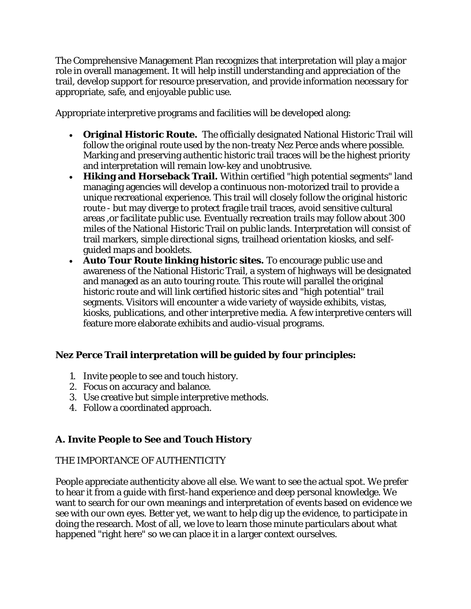The Comprehensive Management Plan recognizes that interpretation will play a major role in overall management. It will help instill understanding and appreciation of the trail, develop support for resource preservation, and provide information necessary for appropriate, safe, and enjoyable public use.

Appropriate interpretive programs and facilities will be developed along:

- **Original Historic Route.** The officially designated National Historic Trail will follow the original route used by the non-treaty Nez Perce ands where possible. Marking and preserving authentic historic trail traces will be the highest priority and interpretation will remain low-key and unobtrusive.
- **Hiking and Horseback Trail.** Within certified "high potential segments" land managing agencies will develop a continuous non-motorized trail to provide a unique recreational experience. This trail will closely follow the original historic route - but may diverge to protect fragile trail traces, avoid sensitive cultural areas ,or facilitate public use. Eventually recreation trails may follow about 300 miles of the National Historic Trail on public lands. Interpretation will consist of trail markers, simple directional signs, trailhead orientation kiosks, and selfguided maps and booklets.
- **Auto Tour Route linking historic sites.** To encourage public use and awareness of the National Historic Trail, a system of highways will be designated and managed as an auto touring route. This route will parallel the original historic route and will link certified historic sites and "high potential" trail segments. Visitors will encounter a wide variety of wayside exhibits, vistas, kiosks, publications, and other interpretive media. A few interpretive centers will feature more elaborate exhibits and audio-visual programs.

# **Nez Perce Trail interpretation will be guided by four principles:**

- 1. Invite people to see and touch history.
- 2. Focus on accuracy and balance.
- 3. Use creative but simple interpretive methods.
- 4. Follow a coordinated approach.

# **A. Invite People to See and Touch History**

# THE IMPORTANCE OF AUTHENTICITY

People appreciate authenticity above all else. We want to see the actual spot. We prefer to hear it from a guide with first-hand experience and deep personal knowledge. We want to search for our own meanings and interpretation of events based on evidence we see with our own eyes. Better yet, we want to help dig up the evidence, to participate in doing the research. Most of all, we love to learn those minute particulars about what happened "right here" so we can place it in a larger context ourselves.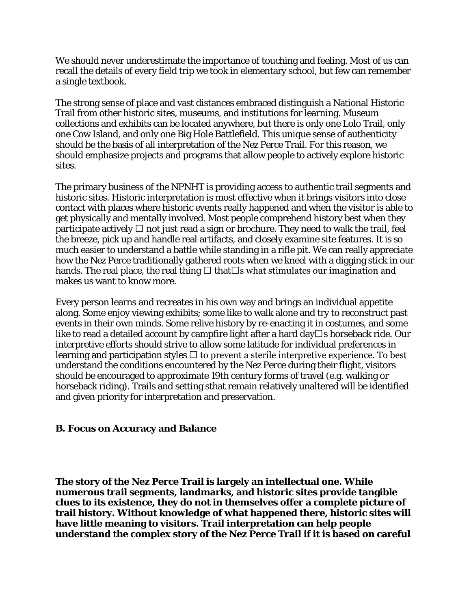We should never underestimate the importance of touching and feeling. Most of us can recall the details of every field trip we took in elementary school, but few can remember a single textbook.

The strong sense of place and vast distances embraced distinguish a National Historic Trail from other historic sites, museums, and institutions for learning. Museum collections and exhibits can be located anywhere, but there is only one Lolo Trail, only one Cow Island, and only one Big Hole Battlefield. This unique sense of authenticity should be the basis of all interpretation of the Nez Perce Trail. For this reason, we should emphasize projects and programs that allow people to actively explore historic sites.

The primary business of the NPNHT is providing access to authentic trail segments and historic sites. Historic interpretation is most effective when it brings visitors into close contact with places where historic events really happened and when the visitor is able to get physically and mentally involved. Most people comprehend history best when they participate actively  $\Box$  not just read a sign or brochure. They need to walk the trail, feel the breeze, pick up and handle real artifacts, and closely examine site features. It is so much easier to understand a battle while standing in a rifle pit. We can really appreciate how the Nez Perce traditionally gathered roots when we kneel with a digging stick in our hands. The real place, the real thing  $\Box$  that  $\Box$ s what stimulates our imagination and makes us want to know more.

Every person learns and recreates in his own way and brings an individual appetite along. Some enjoy viewing exhibits; some like to walk alone and try to reconstruct past events in their own minds. Some relive history by re-enacting it in costumes, and some like to read a detailed account by campfire light after a hard day  $\Box$  s horseback ride. Our interpretive efforts should strive to allow some latitude for individual preferences in learning and participation styles  $\Box$  to prevent a sterile interpretive experience. To best understand the conditions encountered by the Nez Perce during their flight, visitors should be encouraged to approximate 19th century forms of travel (e.g. walking or horseback riding). Trails and setting sthat remain relatively unaltered will be identified and given priority for interpretation and preservation.

#### **B. Focus on Accuracy and Balance**

**The story of the Nez Perce Trail is largely an intellectual one. While numerous trail segments, landmarks, and historic sites provide tangible clues to its existence, they do not in themselves offer a complete picture of trail history. Without knowledge of what happened there, historic sites will have little meaning to visitors. Trail interpretation can help people understand the complex story of the Nez Perce Trail if it is based on careful**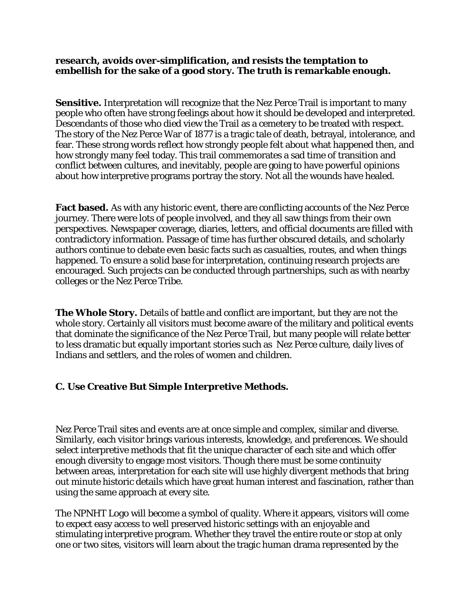#### **research, avoids over-simplification, and resists the temptation to embellish for the sake of a good story. The truth is remarkable enough.**

**Sensitive.** Interpretation will recognize that the Nez Perce Trail is important to many people who often have strong feelings about how it should be developed and interpreted. Descendants of those who died view the Trail as a cemetery to be treated with respect. The story of the Nez Perce War of 1877 is a tragic tale of death, betrayal, intolerance, and fear. These strong words reflect how strongly people felt about what happened then, and how strongly many feel today. This trail commemorates a sad time of transition and conflict between cultures, and inevitably, people are going to have powerful opinions about how interpretive programs portray the story. Not all the wounds have healed.

**Fact based.** As with any historic event, there are conflicting accounts of the Nez Perce journey. There were lots of people involved, and they all saw things from their own perspectives. Newspaper coverage, diaries, letters, and official documents are filled with contradictory information. Passage of time has further obscured details, and scholarly authors continue to debate even basic facts such as casualties, routes, and when things happened. To ensure a solid base for interpretation, continuing research projects are encouraged. Such projects can be conducted through partnerships, such as with nearby colleges or the Nez Perce Tribe.

**The Whole Story.** Details of battle and conflict are important, but they are not the whole story. Certainly all visitors must become aware of the military and political events that dominate the significance of the Nez Perce Trail, but many people will relate better to less dramatic but equally important stories such as Nez Perce culture, daily lives of Indians and settlers, and the roles of women and children.

# **C. Use Creative But Simple Interpretive Methods.**

Nez Perce Trail sites and events are at once simple and complex, similar and diverse. Similarly, each visitor brings various interests, knowledge, and preferences. We should select interpretive methods that fit the unique character of each site and which offer enough diversity to engage most visitors. Though there must be some continuity between areas, interpretation for each site will use highly divergent methods that bring out minute historic details which have great human interest and fascination, rather than using the same approach at every site.

The NPNHT Logo will become a symbol of quality. Where it appears, visitors will come to expect easy access to well preserved historic settings with an enjoyable and stimulating interpretive program. Whether they travel the entire route or stop at only one or two sites, visitors will learn about the tragic human drama represented by the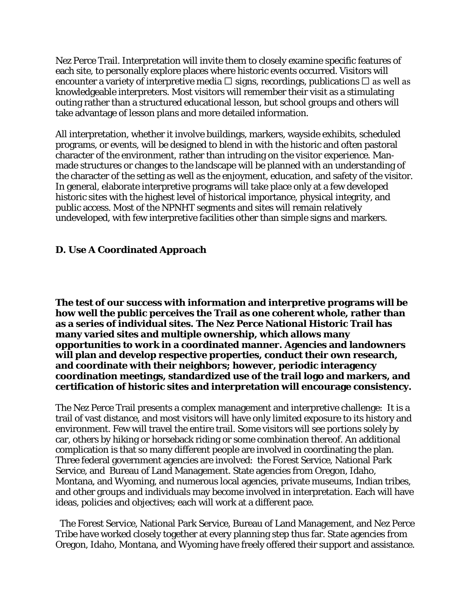Nez Perce Trail. Interpretation will invite them to closely examine specific features of each site, to personally explore places where historic events occurred. Visitors will encounter a variety of interpretive media  $\Box$  signs, recordings, publications  $\Box$  as well as knowledgeable interpreters. Most visitors will remember their visit as a stimulating outing rather than a structured educational lesson, but school groups and others will take advantage of lesson plans and more detailed information.

All interpretation, whether it involve buildings, markers, wayside exhibits, scheduled programs, or events, will be designed to blend in with the historic and often pastoral character of the environment, rather than intruding on the visitor experience. Manmade structures or changes to the landscape will be planned with an understanding of the character of the setting as well as the enjoyment, education, and safety of the visitor. In general, elaborate interpretive programs will take place only at a few developed historic sites with the highest level of historical importance, physical integrity, and public access. Most of the NPNHT segments and sites will remain relatively undeveloped, with few interpretive facilities other than simple signs and markers.

#### **D. Use A Coordinated Approach**

**The test of our success with information and interpretive programs will be how well the public perceives the Trail as one coherent whole, rather than as a series of individual sites. The Nez Perce National Historic Trail has many varied sites and multiple ownership, which allows many opportunities to work in a coordinated manner. Agencies and landowners will plan and develop respective properties, conduct their own research, and coordinate with their neighbors; however, periodic interagency coordination meetings, standardized use of the trail logo and markers, and certification of historic sites and interpretation will encourage consistency.**

The Nez Perce Trail presents a complex management and interpretive challenge: It is a trail of vast distance, and most visitors will have only limited exposure to its history and environment. Few will travel the entire trail. Some visitors will see portions solely by car, others by hiking or horseback riding or some combination thereof. An additional complication is that so many different people are involved in coordinating the plan. Three federal government agencies are involved: the Forest Service, National Park Service, and Bureau of Land Management. State agencies from Oregon, Idaho, Montana, and Wyoming, and numerous local agencies, private museums, Indian tribes, and other groups and individuals may become involved in interpretation. Each will have ideas, policies and objectives; each will work at a different pace.

The Forest Service, National Park Service, Bureau of Land Management, and Nez Perce Tribe have worked closely together at every planning step thus far. State agencies from Oregon, Idaho, Montana, and Wyoming have freely offered their support and assistance.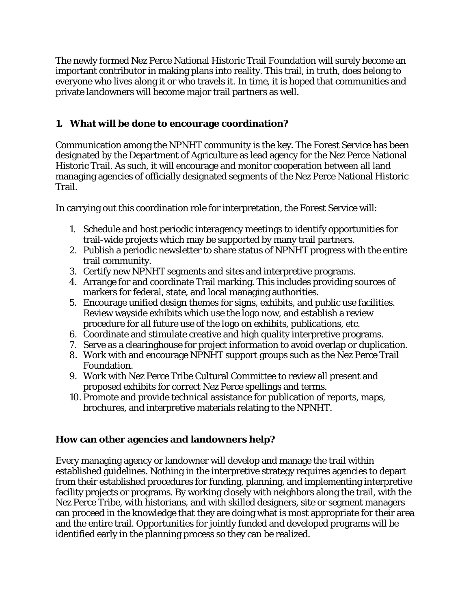The newly formed Nez Perce National Historic Trail Foundation will surely become an important contributor in making plans into reality. This trail, in truth, does belong to everyone who lives along it or who travels it. In time, it is hoped that communities and private landowners will become major trail partners as well.

# **1. What will be done to encourage coordination?**

Communication among the NPNHT community is the key. The Forest Service has been designated by the Department of Agriculture as lead agency for the Nez Perce National Historic Trail. As such, it will encourage and monitor cooperation between all land managing agencies of officially designated segments of the Nez Perce National Historic Trail.

In carrying out this coordination role for interpretation, the Forest Service will:

- 1. Schedule and host periodic interagency meetings to identify opportunities for trail-wide projects which may be supported by many trail partners.
- 2. Publish a periodic newsletter to share status of NPNHT progress with the entire trail community.
- 3. Certify new NPNHT segments and sites and interpretive programs.
- 4. Arrange for and coordinate Trail marking. This includes providing sources of markers for federal, state, and local managing authorities.
- 5. Encourage unified design themes for signs, exhibits, and public use facilities. Review wayside exhibits which use the logo now, and establish a review procedure for all future use of the logo on exhibits, publications, etc.
- 6. Coordinate and stimulate creative and high quality interpretive programs.
- 7. Serve as a clearinghouse for project information to avoid overlap or duplication.
- 8. Work with and encourage NPNHT support groups such as the Nez Perce Trail Foundation.
- 9. Work with Nez Perce Tribe Cultural Committee to review all present and proposed exhibits for correct Nez Perce spellings and terms.
- 10. Promote and provide technical assistance for publication of reports, maps, brochures, and interpretive materials relating to the NPNHT.

# **How can other agencies and landowners help?**

Every managing agency or landowner will develop and manage the trail within established guidelines. Nothing in the interpretive strategy requires agencies to depart from their established procedures for funding, planning, and implementing interpretive facility projects or programs. By working closely with neighbors along the trail, with the Nez Perce Tribe, with historians, and with skilled designers, site or segment managers can proceed in the knowledge that they are doing what is most appropriate for their area and the entire trail. Opportunities for jointly funded and developed programs will be identified early in the planning process so they can be realized.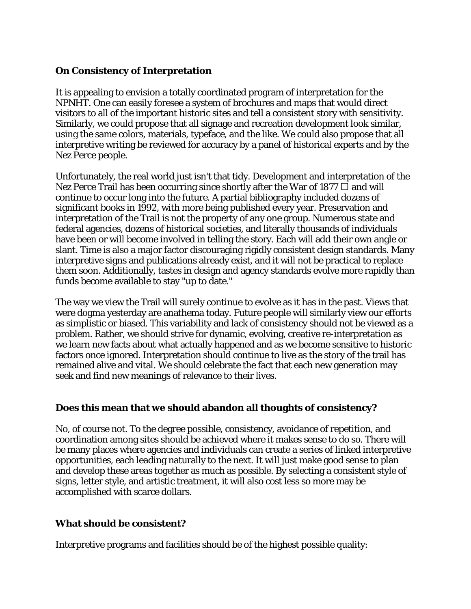#### **On Consistency of Interpretation**

It is appealing to envision a totally coordinated program of interpretation for the NPNHT. One can easily foresee a system of brochures and maps that would direct visitors to all of the important historic sites and tell a consistent story with sensitivity. Similarly, we could propose that all signage and recreation development look similar, using the same colors, materials, typeface, and the like. We could also propose that all interpretive writing be reviewed for accuracy by a panel of historical experts and by the Nez Perce people.

Unfortunately, the real world just isn't that tidy. Development and interpretation of the Nez Perce Trail has been occurring since shortly after the War of 1877  $\Box$  and will continue to occur long into the future. A partial bibliography included dozens of significant books in 1992, with more being published every year. Preservation and interpretation of the Trail is not the property of any one group. Numerous state and federal agencies, dozens of historical societies, and literally thousands of individuals have been or will become involved in telling the story. Each will add their own angle or slant. Time is also a major factor discouraging rigidly consistent design standards. Many interpretive signs and publications already exist, and it will not be practical to replace them soon. Additionally, tastes in design and agency standards evolve more rapidly than funds become available to stay "up to date."

The way we view the Trail will surely continue to evolve as it has in the past. Views that were dogma yesterday are anathema today. Future people will similarly view our efforts as simplistic or biased. This variability and lack of consistency should not be viewed as a problem. Rather, we should strive for dynamic, evolving, creative re-interpretation as we learn new facts about what actually happened and as we become sensitive to historic factors once ignored. Interpretation should continue to live as the story of the trail has remained alive and vital. We should celebrate the fact that each new generation may seek and find new meanings of relevance to their lives.

# **Does this mean that we should abandon all thoughts of consistency?**

No, of course not. To the degree possible, consistency, avoidance of repetition, and coordination among sites should be achieved where it makes sense to do so. There will be many places where agencies and individuals can create a series of linked interpretive opportunities, each leading naturally to the next. It will just make good sense to plan and develop these areas together as much as possible. By selecting a consistent style of signs, letter style, and artistic treatment, it will also cost less so more may be accomplished with scarce dollars.

# **What should be consistent?**

Interpretive programs and facilities should be of the highest possible quality: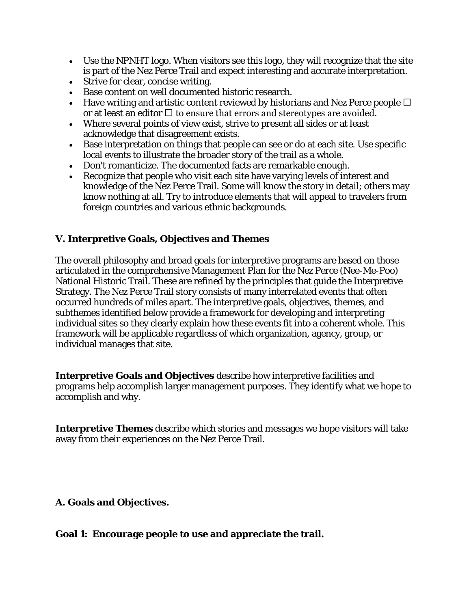- Use the NPNHT logo. When visitors see this logo, they will recognize that the site is part of the Nez Perce Trail and expect interesting and accurate interpretation.
- Strive for clear, concise writing.
- Base content on well documented historic research.
- Have writing and artistic content reviewed by historians and Nez Perce people  $\Box$ or at least an editor  $\Box$  to ensure that errors and stereotypes are avoided.
- Where several points of view exist, strive to present all sides or at least acknowledge that disagreement exists.
- Base interpretation on things that people can see or do at each site. Use specific local events to illustrate the broader story of the trail as a whole.
- Don't romanticize. The documented facts are remarkable enough.
- Recognize that people who visit each site have varying levels of interest and knowledge of the Nez Perce Trail. Some will know the story in detail; others may know nothing at all. Try to introduce elements that will appeal to travelers from foreign countries and various ethnic backgrounds.

#### **V. Interpretive Goals, Objectives and Themes**

The overall philosophy and broad goals for interpretive programs are based on those articulated in the comprehensive Management Plan for the Nez Perce (Nee-Me-Poo) National Historic Trail. These are refined by the principles that guide the Interpretive Strategy. The Nez Perce Trail story consists of many interrelated events that often occurred hundreds of miles apart. The interpretive goals, objectives, themes, and subthemes identified below provide a framework for developing and interpreting individual sites so they clearly explain how these events fit into a coherent whole. This framework will be applicable regardless of which organization, agency, group, or individual manages that site.

**Interpretive Goals and Objectives** describe how interpretive facilities and programs help accomplish larger management purposes. They identify what we hope to accomplish and why.

**Interpretive Themes** describe which stories and messages we hope visitors will take away from their experiences on the Nez Perce Trail.

# **A. Goals and Objectives.**

#### **Goal 1: Encourage people to use and appreciate the trail.**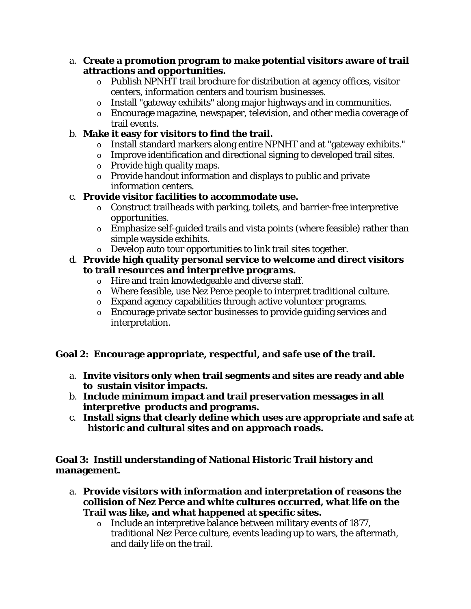- a. **Create a promotion program to make potential visitors aware of trail attractions and opportunities.**
	- $\circ$  Publish NPNHT trail brochure for distribution at agency offices, visitor centers, information centers and tourism businesses.
	- o Install "gateway exhibits" along major highways and in communities.
	- o Encourage magazine, newspaper, television, and other media coverage of trail events.

# b. **Make it easy for visitors to find the trail.**

- o Install standard markers along entire NPNHT and at "gateway exhibits."
- o Improve identification and directional signing to developed trail sites.
- o Provide high quality maps.
- o Provide handout information and displays to public and private information centers.

# c. **Provide visitor facilities to accommodate use.**

- o Construct trailheads with parking, toilets, and barrier-free interpretive opportunities.
- o Emphasize self-guided trails and vista points (where feasible) rather than simple wayside exhibits.
- o Develop auto tour opportunities to link trail sites together.

# d. **Provide high quality personal service to welcome and direct visitors to trail resources and interpretive programs.**

- o Hire and train knowledgeable and diverse staff.
- o Where feasible, use Nez Perce people to interpret traditional culture.
- o Expand agency capabilities through active volunteer programs.
- o Encourage private sector businesses to provide guiding services and interpretation.

# **Goal 2: Encourage appropriate, respectful, and safe use of the trail.**

- a. **Invite visitors only when trail segments and sites are ready and able to sustain visitor impacts.**
- b. **Include minimum impact and trail preservation messages in all interpretive products and programs.**
- c. **Install signs that clearly define which uses are appropriate and safe at historic and cultural sites and on approach roads.**

# **Goal 3: Instill understanding of National Historic Trail history and management.**

- a. **Provide visitors with information and interpretation of reasons the collision of Nez Perce and white cultures occurred, what life on the Trail was like, and what happened at specific sites.**
	- o Include an interpretive balance between military events of 1877, traditional Nez Perce culture, events leading up to wars, the aftermath, and daily life on the trail.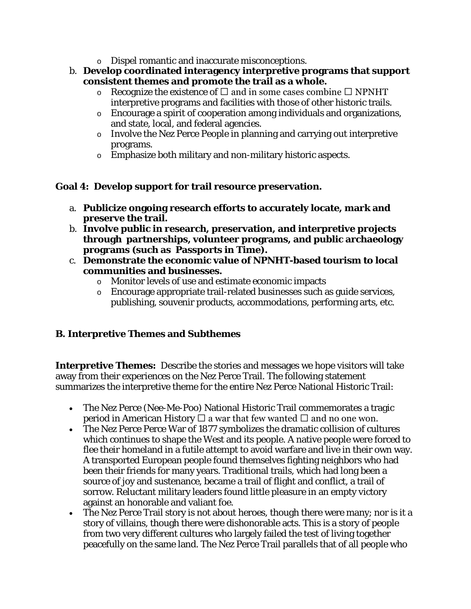- o Dispel romantic and inaccurate misconceptions.
- b. **Develop coordinated interagency interpretive programs that support consistent themes and promote the trail as a whole.**
	- $\circ$  Recognize the existence of  $\Box$  and in some cases combine  $\Box$  NPNHT interpretive programs and facilities with those of other historic trails.
	- o Encourage a spirit of cooperation among individuals and organizations, and state, local, and federal agencies.
	- o Involve the Nez Perce People in planning and carrying out interpretive programs.
	- o Emphasize both military and non-military historic aspects.

# **Goal 4: Develop support for trail resource preservation.**

- a. **Publicize ongoing research efforts to accurately locate, mark and preserve the trail.**
- b. **Involve public in research, preservation, and interpretive projects through partnerships, volunteer programs, and public archaeology programs (such as Passports in Time).**
- c. **Demonstrate the economic value of NPNHT-based tourism to local communities and businesses.**
	- o Monitor levels of use and estimate economic impacts
	- o Encourage appropriate trail-related businesses such as guide services, publishing, souvenir products, accommodations, performing arts, etc.

# **B. Interpretive Themes and Subthemes**

**Interpretive Themes:** Describe the stories and messages we hope visitors will take away from their experiences on the Nez Perce Trail. The following statement summarizes the interpretive theme for the entire Nez Perce National Historic Trail:

- The Nez Perce (Nee-Me-Poo) National Historic Trail commemorates a tragic period in American History  $\Box$  a war that few wanted  $\Box$  and no one won.
- The Nez Perce Perce War of 1877 symbolizes the dramatic collision of cultures which continues to shape the West and its people. A native people were forced to flee their homeland in a futile attempt to avoid warfare and live in their own way. A transported European people found themselves fighting neighbors who had been their friends for many years. Traditional trails, which had long been a source of joy and sustenance, became a trail of flight and conflict, a trail of sorrow. Reluctant military leaders found little pleasure in an empty victory against an honorable and valiant foe.
- The Nez Perce Trail story is not about heroes, though there were many; nor is it a story of villains, though there were dishonorable acts. This is a story of people from two very different cultures who largely failed the test of living together peacefully on the same land. The Nez Perce Trail parallels that of all people who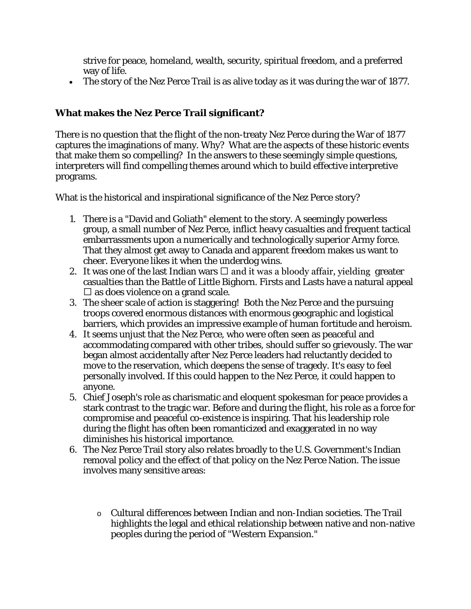strive for peace, homeland, wealth, security, spiritual freedom, and a preferred way of life.

• The story of the Nez Perce Trail is as alive today as it was during the war of 1877.

# **What makes the Nez Perce Trail significant?**

There is no question that the flight of the non-treaty Nez Perce during the War of 1877 captures the imaginations of many. Why? What are the aspects of these historic events that make them so compelling? In the answers to these seemingly simple questions, interpreters will find compelling themes around which to build effective interpretive programs.

What is the historical and inspirational significance of the Nez Perce story?

- 1. There is a "David and Goliath" element to the story. A seemingly powerless group, a small number of Nez Perce, inflict heavy casualties and frequent tactical embarrassments upon a numerically and technologically superior Army force. That they almost get away to Canada and apparent freedom makes us want to cheer. Everyone likes it when the underdog wins.
- 2. It was one of the last Indian wars  $\Box$  and it was a bloody affair, yielding greater casualties than the Battle of Little Bighorn. Firsts and Lasts have a natural appeal  $\square$  as does violence on a grand scale.
- 3. The sheer scale of action is staggering! Both the Nez Perce and the pursuing troops covered enormous distances with enormous geographic and logistical barriers, which provides an impressive example of human fortitude and heroism.
- 4. It seems unjust that the Nez Perce, who were often seen as peaceful and accommodating compared with other tribes, should suffer so grievously. The war began almost accidentally after Nez Perce leaders had reluctantly decided to move to the reservation, which deepens the sense of tragedy. It's easy to feel personally involved. If this could happen to the Nez Perce, it could happen to anyone.
- 5. Chief Joseph's role as charismatic and eloquent spokesman for peace provides a stark contrast to the tragic war. Before and during the flight, his role as a force for compromise and peaceful co-existence is inspiring. That his leadership role during the flight has often been romanticized and exaggerated in no way diminishes his historical importance.
- 6. The Nez Perce Trail story also relates broadly to the U.S. Government's Indian removal policy and the effect of that policy on the Nez Perce Nation. The issue involves many sensitive areas:
	- o Cultural differences between Indian and non-Indian societies. The Trail highlights the legal and ethical relationship between native and non-native peoples during the period of "Western Expansion."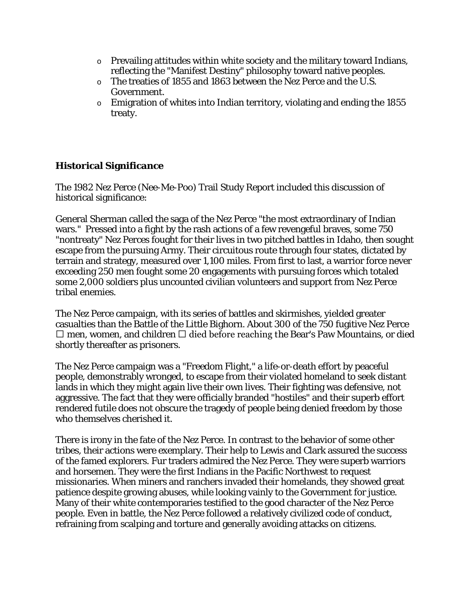- $\circ$  Prevailing attitudes within white society and the military toward Indians, reflecting the "Manifest Destiny" philosophy toward native peoples.
- o The treaties of 1855 and 1863 between the Nez Perce and the U.S. Government.
- o Emigration of whites into Indian territory, violating and ending the 1855 treaty.

# **Historical Significance**

The 1982 Nez Perce (Nee-Me-Poo) Trail Study Report included this discussion of historical significance:

General Sherman called the saga of the Nez Perce "the most extraordinary of Indian wars." Pressed into a fight by the rash actions of a few revengeful braves, some 750 "nontreaty" Nez Perces fought for their lives in two pitched battles in Idaho, then sought escape from the pursuing Army. Their circuitous route through four states, dictated by terrain and strategy, measured over 1,100 miles. From first to last, a warrior force never exceeding 250 men fought some 20 engagements with pursuing forces which totaled some 2,000 soldiers plus uncounted civilian volunteers and support from Nez Perce tribal enemies.

The Nez Perce campaign, with its series of battles and skirmishes, yielded greater casualties than the Battle of the Little Bighorn. About 300 of the 750 fugitive Nez Perce  $\Box$  men, women, and children  $\Box$  died before reaching the Bear's Paw Mountains, or died shortly thereafter as prisoners.

The Nez Perce campaign was a "Freedom Flight," a life-or-death effort by peaceful people, demonstrably wronged, to escape from their violated homeland to seek distant lands in which they might again live their own lives. Their fighting was defensive, not aggressive. The fact that they were officially branded "hostiles" and their superb effort rendered futile does not obscure the tragedy of people being denied freedom by those who themselves cherished it.

There is irony in the fate of the Nez Perce. In contrast to the behavior of some other tribes, their actions were exemplary. Their help to Lewis and Clark assured the success of the famed explorers. Fur traders admired the Nez Perce. They were superb warriors and horsemen. They were the first Indians in the Pacific Northwest to request missionaries. When miners and ranchers invaded their homelands, they showed great patience despite growing abuses, while looking vainly to the Government for justice. Many of their white contemporaries testified to the good character of the Nez Perce people. Even in battle, the Nez Perce followed a relatively civilized code of conduct, refraining from scalping and torture and generally avoiding attacks on citizens.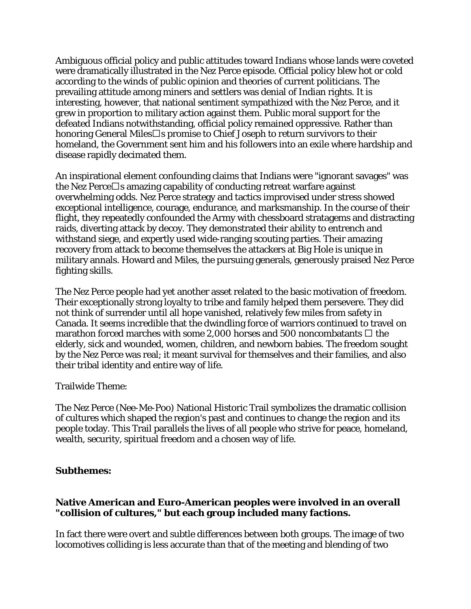Ambiguous official policy and public attitudes toward Indians whose lands were coveted were dramatically illustrated in the Nez Perce episode. Official policy blew hot or cold according to the winds of public opinion and theories of current politicians. The prevailing attitude among miners and settlers was denial of Indian rights. It is interesting, however, that national sentiment sympathized with the Nez Perce, and it grew in proportion to military action against them. Public moral support for the defeated Indians notwithstanding, official policy remained oppressive. Rather than honoring General Miles $\square$ s promise to Chief Joseph to return survivors to their homeland, the Government sent him and his followers into an exile where hardship and disease rapidly decimated them.

An inspirational element confounding claims that Indians were "ignorant savages" was the Nez Perce $\Box$ s amazing capability of conducting retreat warfare against overwhelming odds. Nez Perce strategy and tactics improvised under stress showed exceptional intelligence, courage, endurance, and marksmanship. In the course of their flight, they repeatedly confounded the Army with chessboard stratagems and distracting raids, diverting attack by decoy. They demonstrated their ability to entrench and withstand siege, and expertly used wide-ranging scouting parties. Their amazing recovery from attack to become themselves the attackers at Big Hole is unique in military annals. Howard and Miles, the pursuing generals, generously praised Nez Perce fighting skills.

The Nez Perce people had yet another asset related to the basic motivation of freedom. Their exceptionally strong loyalty to tribe and family helped them persevere. They did not think of surrender until all hope vanished, relatively few miles from safety in Canada. It seems incredible that the dwindling force of warriors continued to travel on marathon forced marches with some 2,000 horses and 500 noncombatants  $\Box$  the elderly, sick and wounded, women, children, and newborn babies. The freedom sought by the Nez Perce was real; it meant survival for themselves and their families, and also their tribal identity and entire way of life.

#### Trailwide Theme:

The Nez Perce (Nee-Me-Poo) National Historic Trail symbolizes the dramatic collision of cultures which shaped the region's past and continues to change the region and its people today. This Trail parallels the lives of all people who strive for peace, homeland, wealth, security, spiritual freedom and a chosen way of life.

#### **Subthemes:**

#### **Native American and Euro-American peoples were involved in an overall "collision of cultures," but each group included many factions.**

In fact there were overt and subtle differences between both groups. The image of two locomotives colliding is less accurate than that of the meeting and blending of two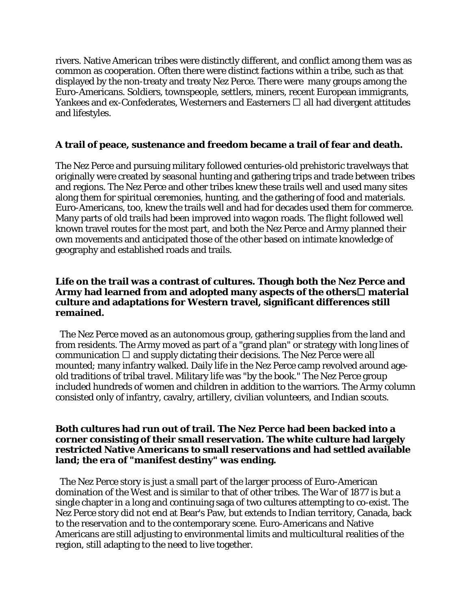rivers. Native American tribes were distinctly different, and conflict among them was as common as cooperation. Often there were distinct factions within a tribe, such as that displayed by the non-treaty and treaty Nez Perce. There were many groups among the Euro-Americans. Soldiers, townspeople, settlers, miners, recent European immigrants, Yankees and ex-Confederates, Westerners and Easterners  $\Box$  all had divergent attitudes and lifestyles.

#### **A trail of peace, sustenance and freedom became a trail of fear and death.**

The Nez Perce and pursuing military followed centuries-old prehistoric travelways that originally were created by seasonal hunting and gathering trips and trade between tribes and regions. The Nez Perce and other tribes knew these trails well and used many sites along them for spiritual ceremonies, hunting, and the gathering of food and materials. Euro-Americans, too, knew the trails well and had for decades used them for commerce. Many parts of old trails had been improved into wagon roads. The flight followed well known travel routes for the most part, and both the Nez Perce and Army planned their own movements and anticipated those of the other based on intimate knowledge of geography and established roads and trails.

#### **Life on the trail was a contrast of cultures. Though both the Nez Perce and**  Army had learned from and adopted many aspects of the others **material culture and adaptations for Western travel, significant differences still remained.**

The Nez Perce moved as an autonomous group, gathering supplies from the land and from residents. The Army moved as part of a "grand plan" or strategy with long lines of communication  $\Box$  and supply dictating their decisions. The Nez Perce were all mounted; many infantry walked. Daily life in the Nez Perce camp revolved around ageold traditions of tribal travel. Military life was "by the book." The Nez Perce group included hundreds of women and children in addition to the warriors. The Army column consisted only of infantry, cavalry, artillery, civilian volunteers, and Indian scouts.

#### **Both cultures had run out of trail. The Nez Perce had been backed into a corner consisting of their small reservation. The white culture had largely restricted Native Americans to small reservations and had settled available land; the era of "manifest destiny" was ending.**

The Nez Perce story is just a small part of the larger process of Euro-American domination of the West and is similar to that of other tribes. The War of 1877 is but a single chapter in a long and continuing saga of two cultures attempting to co-exist. The Nez Perce story did not end at Bear's Paw, but extends to Indian territory, Canada, back to the reservation and to the contemporary scene. Euro-Americans and Native Americans are still adjusting to environmental limits and multicultural realities of the region, still adapting to the need to live together.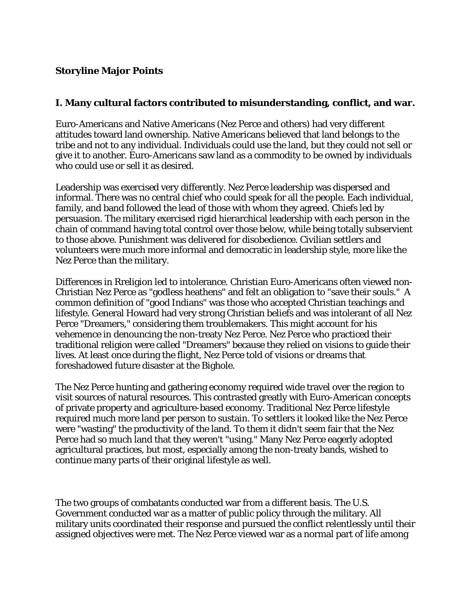# **Storyline Major Points**

#### **I. Many cultural factors contributed to misunderstanding, conflict, and war.**

Euro-Americans and Native Americans (Nez Perce and others) had very different attitudes toward land ownership. Native Americans believed that land belongs to the tribe and not to any individual. Individuals could use the land, but they could not sell or give it to another. Euro-Americans saw land as a commodity to be owned by individuals who could use or sell it as desired.

Leadership was exercised very differently. Nez Perce leadership was dispersed and informal. There was no central chief who could speak for all the people. Each individual, family, and band followed the lead of those with whom they agreed. Chiefs led by persuasion. The military exercised rigid hierarchical leadership with each person in the chain of command having total control over those below, while being totally subservient to those above. Punishment was delivered for disobedience. Civilian settlers and volunteers were much more informal and democratic in leadership style, more like the Nez Perce than the military.

Differences in Rreligion led to intolerance. Christian Euro-Americans often viewed non-Christian Nez Perce as "godless heathens" and felt an obligation to "save their souls." A common definition of "good Indians" was those who accepted Christian teachings and lifestyle. General Howard had very strong Christian beliefs and was intolerant of all Nez Perce "Dreamers," considering them troublemakers. This might account for his vehemence in denouncing the non-treaty Nez Perce. Nez Perce who practiced their traditional religion were called "Dreamers" because they relied on visions to guide their lives. At least once during the flight, Nez Perce told of visions or dreams that foreshadowed future disaster at the Bighole.

The Nez Perce hunting and gathering economy required wide travel over the region to visit sources of natural resources. This contrasted greatly with Euro-American concepts of private property and agriculture-based economy. Traditional Nez Perce lifestyle required much more land per person to sustain. To settlers it looked like the Nez Perce were "wasting" the productivity of the land. To them it didn't seem fair that the Nez Perce had so much land that they weren't "using." Many Nez Perce eagerly adopted agricultural practices, but most, especially among the non-treaty bands, wished to continue many parts of their original lifestyle as well.

The two groups of combatants conducted war from a different basis. The U.S. Government conducted war as a matter of public policy through the military. All military units coordinated their response and pursued the conflict relentlessly until their assigned objectives were met. The Nez Perce viewed war as a normal part of life among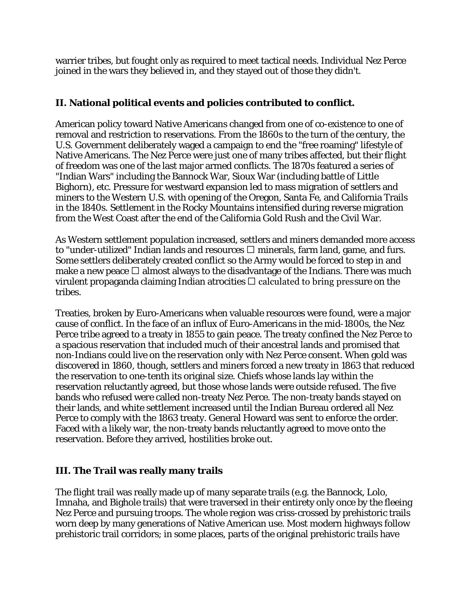warrier tribes, but fought only as required to meet tactical needs. Individual Nez Perce joined in the wars they believed in, and they stayed out of those they didn't.

# **II. National political events and policies contributed to conflict.**

American policy toward Native Americans changed from one of co-existence to one of removal and restriction to reservations. From the 1860s to the turn of the century, the U.S. Government deliberately waged a campaign to end the "free roaming" lifestyle of Native Americans. The Nez Perce were just one of many tribes affected, but their flight of freedom was one of the last major armed conflicts. The 1870s featured a series of "Indian Wars" including the Bannock War, Sioux War (including battle of Little Bighorn), etc. Pressure for westward expansion led to mass migration of settlers and miners to the Western U.S. with opening of the Oregon, Santa Fe, and California Trails in the 1840s. Settlement in the Rocky Mountains intensified during reverse migration from the West Coast after the end of the California Gold Rush and the Civil War.

As Western settlement population increased, settlers and miners demanded more access to "under-utilized" Indian lands and resources  $\Box$  minerals, farm land, game, and furs. Some settlers deliberately created conflict so the Army would be forced to step in and make a new peace  $\Box$  almost always to the disadvantage of the Indians. There was much virulent propaganda claiming Indian atrocities  $\Box$  calculated to bring pressure on the tribes.

Treaties, broken by Euro-Americans when valuable resources were found, were a major cause of conflict. In the face of an influx of Euro-Americans in the mid-1800s, the Nez Perce tribe agreed to a treaty in 1855 to gain peace. The treaty confined the Nez Perce to a spacious reservation that included much of their ancestral lands and promised that non-Indians could live on the reservation only with Nez Perce consent. When gold was discovered in 1860, though, settlers and miners forced a new treaty in 1863 that reduced the reservation to one-tenth its original size. Chiefs whose lands lay within the reservation reluctantly agreed, but those whose lands were outside refused. The five bands who refused were called non-treaty Nez Perce. The non-treaty bands stayed on their lands, and white settlement increased until the Indian Bureau ordered all Nez Perce to comply with the 1863 treaty. General Howard was sent to enforce the order. Faced with a likely war, the non-treaty bands reluctantly agreed to move onto the reservation. Before they arrived, hostilities broke out.

# **III. The Trail was really many trails**

The flight trail was really made up of many separate trails (e.g. the Bannock, Lolo, Imnaha, and Bighole trails) that were traversed in their entirety only once by the fleeing Nez Perce and pursuing troops. The whole region was criss-crossed by prehistoric trails worn deep by many generations of Native American use. Most modern highways follow prehistoric trail corridors; in some places, parts of the original prehistoric trails have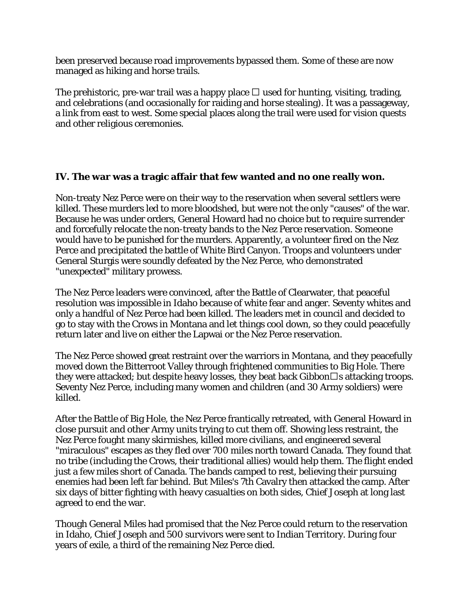been preserved because road improvements bypassed them. Some of these are now managed as hiking and horse trails.

The prehistoric, pre-war trail was a happy place  $\Box$  used for hunting, visiting, trading, and celebrations (and occasionally for raiding and horse stealing). It was a passageway, a link from east to west. Some special places along the trail were used for vision quests and other religious ceremonies.

#### **IV. The war was a tragic affair that few wanted and no one really won.**

Non-treaty Nez Perce were on their way to the reservation when several settlers were killed. These murders led to more bloodshed, but were not the only "causes" of the war. Because he was under orders, General Howard had no choice but to require surrender and forcefully relocate the non-treaty bands to the Nez Perce reservation. Someone would have to be punished for the murders. Apparently, a volunteer fired on the Nez Perce and precipitated the battle of White Bird Canyon. Troops and volunteers under General Sturgis were soundly defeated by the Nez Perce, who demonstrated "unexpected" military prowess.

The Nez Perce leaders were convinced, after the Battle of Clearwater, that peaceful resolution was impossible in Idaho because of white fear and anger. Seventy whites and only a handful of Nez Perce had been killed. The leaders met in council and decided to go to stay with the Crows in Montana and let things cool down, so they could peacefully return later and live on either the Lapwai or the Nez Perce reservation.

The Nez Perce showed great restraint over the warriors in Montana, and they peacefully moved down the Bitterroot Valley through frightened communities to Big Hole. There they were attacked; but despite heavy losses, they beat back Gibbon $\square$ s attacking troops. Seventy Nez Perce, including many women and children (and 30 Army soldiers) were killed.

After the Battle of Big Hole, the Nez Perce frantically retreated, with General Howard in close pursuit and other Army units trying to cut them off. Showing less restraint, the Nez Perce fought many skirmishes, killed more civilians, and engineered several "miraculous" escapes as they fled over 700 miles north toward Canada. They found that no tribe (including the Crows, their traditional allies) would help them. The flight ended just a few miles short of Canada. The bands camped to rest, believing their pursuing enemies had been left far behind. But Miles's 7th Cavalry then attacked the camp. After six days of bitter fighting with heavy casualties on both sides, Chief Joseph at long last agreed to end the war.

Though General Miles had promised that the Nez Perce could return to the reservation in Idaho, Chief Joseph and 500 survivors were sent to Indian Territory. During four years of exile, a third of the remaining Nez Perce died.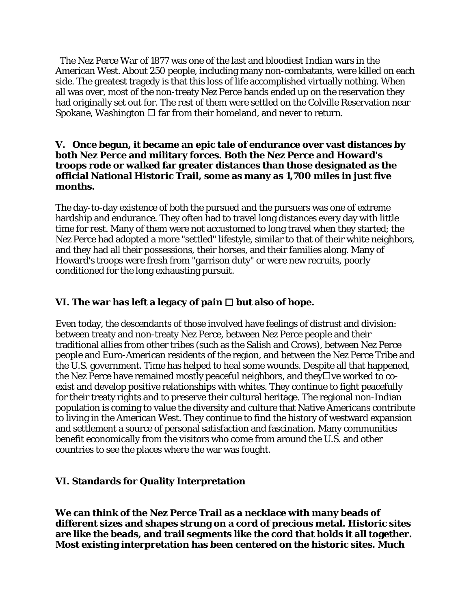The Nez Perce War of 1877 was one of the last and bloodiest Indian wars in the American West. About 250 people, including many non-combatants, were killed on each side. The greatest tragedy is that this loss of life accomplished virtually nothing. When all was over, most of the non-treaty Nez Perce bands ended up on the reservation they had originally set out for. The rest of them were settled on the Colville Reservation near Spokane, Washington  $\Box$  far from their homeland, and never to return.

#### **V. Once begun, it became an epic tale of endurance over vast distances by both Nez Perce and military forces. Both the Nez Perce and Howard's troops rode or walked far greater distances than those designated as the official National Historic Trail, some as many as 1,700 miles in just five months.**

The day-to-day existence of both the pursued and the pursuers was one of extreme hardship and endurance. They often had to travel long distances every day with little time for rest. Many of them were not accustomed to long travel when they started; the Nez Perce had adopted a more "settled" lifestyle, similar to that of their white neighbors, and they had all their possessions, their horses, and their families along. Many of Howard's troops were fresh from "garrison duty" or were new recruits, poorly conditioned for the long exhausting pursuit.

# **VI. The war has left a legacy of pain**  $\Box$  **but also of hope.**

Even today, the descendants of those involved have feelings of distrust and division: between treaty and non-treaty Nez Perce, between Nez Perce people and their traditional allies from other tribes (such as the Salish and Crows), between Nez Perce people and Euro-American residents of the region, and between the Nez Perce Tribe and the U.S. government. Time has helped to heal some wounds. Despite all that happened, the Nez Perce have remained mostly peaceful neighbors, and they $\Box$  ve worked to coexist and develop positive relationships with whites. They continue to fight peacefully for their treaty rights and to preserve their cultural heritage. The regional non-Indian population is coming to value the diversity and culture that Native Americans contribute to living in the American West. They continue to find the history of westward expansion and settlement a source of personal satisfaction and fascination. Many communities benefit economically from the visitors who come from around the U.S. and other countries to see the places where the war was fought.

# **VI. Standards for Quality Interpretation**

**We can think of the Nez Perce Trail as a necklace with many beads of different sizes and shapes strung on a cord of precious metal. Historic sites are like the beads, and trail segments like the cord that holds it all together. Most existing interpretation has been centered on the historic sites. Much**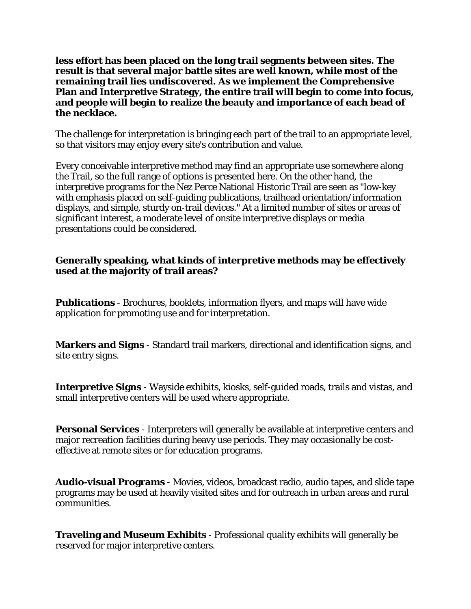**less effort has been placed on the long trail segments between sites. The result is that several major battle sites are well known, while most of the remaining trail lies undiscovered. As we implement the Comprehensive Plan and Interpretive Strategy, the entire trail will begin to come into focus, and people will begin to realize the beauty and importance of each bead of the necklace.**

The challenge for interpretation is bringing each part of the trail to an appropriate level, so that visitors may enjoy every site's contribution and value.

Every conceivable interpretive method may find an appropriate use somewhere along the Trail, so the full range of options is presented here. On the other hand, the interpretive programs for the Nez Perce National Historic Trail are seen as "low-key with emphasis placed on self-guiding publications, trailhead orientation/information displays, and simple, sturdy on-trail devices." At a limited number of sites or areas of significant interest, a moderate level of onsite interpretive displays or media presentations could be considered.

#### **Generally speaking, what kinds of interpretive methods may be effectively used at the majority of trail areas?**

**Publications** - Brochures, booklets, information flyers, and maps will have wide application for promoting use and for interpretation.

**Markers and Signs** - Standard trail markers, directional and identification signs, and site entry signs.

**Interpretive Signs** - Wayside exhibits, kiosks, self-guided roads, trails and vistas, and small interpretive centers will be used where appropriate.

**Personal Services** - Interpreters will generally be available at interpretive centers and major recreation facilities during heavy use periods. They may occasionally be costeffective at remote sites or for education programs.

**Audio-visual Programs** - Movies, videos, broadcast radio, audio tapes, and slide tape programs may be used at heavily visited sites and for outreach in urban areas and rural communities.

**Traveling and Museum Exhibits** - Professional quality exhibits will generally be reserved for major interpretive centers.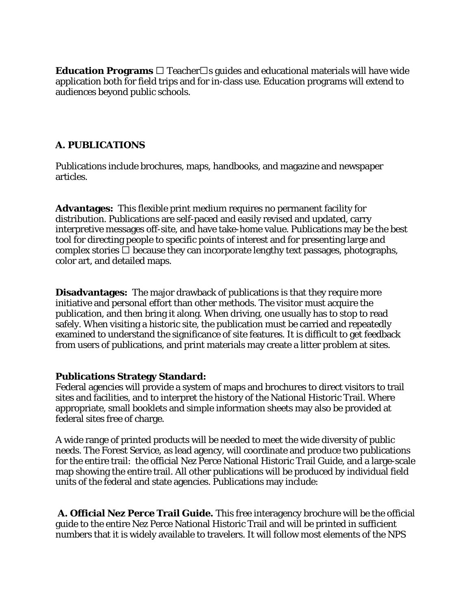**Education Programs**  $\Box$  Teacher  $\Box$ s guides and educational materials will have wide application both for field trips and for in-class use. Education programs will extend to audiences beyond public schools.

#### **A. PUBLICATIONS**

Publications include brochures, maps, handbooks, and magazine and newspaper articles.

**Advantages:** This flexible print medium requires no permanent facility for distribution. Publications are self-paced and easily revised and updated, carry interpretive messages off-site, and have take-home value. Publications may be the best tool for directing people to specific points of interest and for presenting large and complex stories  $\Box$  because they can incorporate lengthy text passages, photographs, color art, and detailed maps.

**Disadvantages:** The major drawback of publications is that they require more initiative and personal effort than other methods. The visitor must acquire the publication, and then bring it along. When driving, one usually has to stop to read safely. When visiting a historic site, the publication must be carried and repeatedly examined to understand the significance of site features. It is difficult to get feedback from users of publications, and print materials may create a litter problem at sites.

#### **Publications Strategy Standard:**

Federal agencies will provide a system of maps and brochures to direct visitors to trail sites and facilities, and to interpret the history of the National Historic Trail. Where appropriate, small booklets and simple information sheets may also be provided at federal sites free of charge.

A wide range of printed products will be needed to meet the wide diversity of public needs. The Forest Service, as lead agency, will coordinate and produce two publications for the entire trail: the official Nez Perce National Historic Trail Guide, and a large-scale map showing the entire trail. All other publications will be produced by individual field units of the federal and state agencies. Publications may include:

**A. Official Nez Perce Trail Guide.** This free interagency brochure will be the official guide to the entire Nez Perce National Historic Trail and will be printed in sufficient numbers that it is widely available to travelers. It will follow most elements of the NPS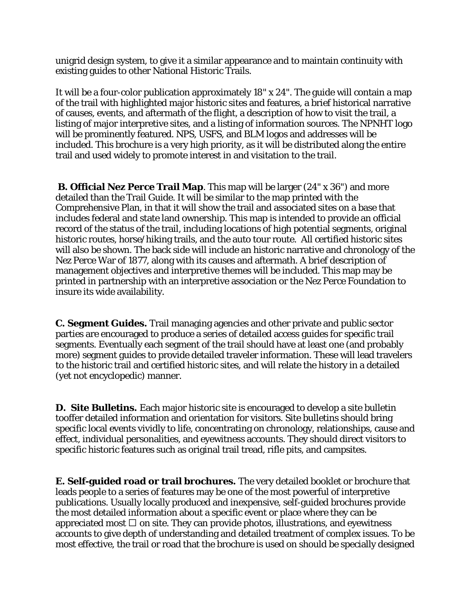unigrid design system, to give it a similar appearance and to maintain continuity with existing guides to other National Historic Trails.

It will be a four-color publication approximately 18" x 24". The guide will contain a map of the trail with highlighted major historic sites and features, a brief historical narrative of causes, events, and aftermath of the flight, a description of how to visit the trail, a listing of major interpretive sites, and a listing of information sources. The NPNHT logo will be prominently featured. NPS, USFS, and BLM logos and addresses will be included. This brochure is a very high priority, as it will be distributed along the entire trail and used widely to promote interest in and visitation to the trail.

**B. Official Nez Perce Trail Map**. This map will be larger (24" x 36") and more detailed than the Trail Guide. It will be similar to the map printed with the Comprehensive Plan, in that it will show the trail and associated sites on a base that includes federal and state land ownership. This map is intended to provide an official record of the status of the trail, including locations of high potential segments, original historic routes, horse/hiking trails, and the auto tour route. All certified historic sites will also be shown. The back side will include an historic narrative and chronology of the Nez Perce War of 1877, along with its causes and aftermath. A brief description of management objectives and interpretive themes will be included. This map may be printed in partnership with an interpretive association or the Nez Perce Foundation to insure its wide availability.

**C. Segment Guides.** Trail managing agencies and other private and public sector parties are encouraged to produce a series of detailed access guides for specific trail segments. Eventually each segment of the trail should have at least one (and probably more) segment guides to provide detailed traveler information. These will lead travelers to the historic trail and certified historic sites, and will relate the history in a detailed (yet not encyclopedic) manner.

**D. Site Bulletins.** Each major historic site is encouraged to develop a site bulletin tooffer detailed information and orientation for visitors. Site bulletins should bring specific local events vividly to life, concentrating on chronology, relationships, cause and effect, individual personalities, and eyewitness accounts. They should direct visitors to specific historic features such as original trail tread, rifle pits, and campsites.

**E. Self-guided road or trail brochures.** The very detailed booklet or brochure that leads people to a series of features may be one of the most powerful of interpretive publications. Usually locally produced and inexpensive, self-guided brochures provide the most detailed information about a specific event or place where they can be appreciated most  $\Box$  on site. They can provide photos, illustrations, and eyewitness accounts to give depth of understanding and detailed treatment of complex issues. To be most effective, the trail or road that the brochure is used on should be specially designed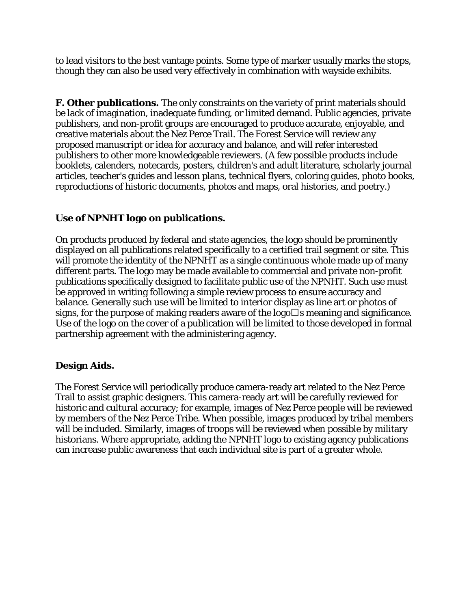to lead visitors to the best vantage points. Some type of marker usually marks the stops, though they can also be used very effectively in combination with wayside exhibits.

**F. Other publications.** The only constraints on the variety of print materials should be lack of imagination, inadequate funding, or limited demand. Public agencies, private publishers, and non-profit groups are encouraged to produce accurate, enjoyable, and creative materials about the Nez Perce Trail. The Forest Service will review any proposed manuscript or idea for accuracy and balance, and will refer interested publishers to other more knowledgeable reviewers. (A few possible products include booklets, calenders, notecards, posters, children's and adult literature, scholarly journal articles, teacher's guides and lesson plans, technical flyers, coloring guides, photo books, reproductions of historic documents, photos and maps, oral histories, and poetry.)

#### **Use of NPNHT logo on publications.**

On products produced by federal and state agencies, the logo should be prominently displayed on all publications related specifically to a certified trail segment or site. This will promote the identity of the NPNHT as a single continuous whole made up of many different parts. The logo may be made available to commercial and private non-profit publications specifically designed to facilitate public use of the NPNHT. Such use must be approved in writing following a simple review process to ensure accuracy and balance. Generally such use will be limited to interior display as line art or photos of signs, for the purpose of making readers aware of the logo $\square$ s meaning and significance. Use of the logo on the cover of a publication will be limited to those developed in formal partnership agreement with the administering agency.

# **Design Aids.**

The Forest Service will periodically produce camera-ready art related to the Nez Perce Trail to assist graphic designers. This camera-ready art will be carefully reviewed for historic and cultural accuracy; for example, images of Nez Perce people will be reviewed by members of the Nez Perce Tribe. When possible, images produced by tribal members will be included. Similarly, images of troops will be reviewed when possible by military historians. Where appropriate, adding the NPNHT logo to existing agency publications can increase public awareness that each individual site is part of a greater whole.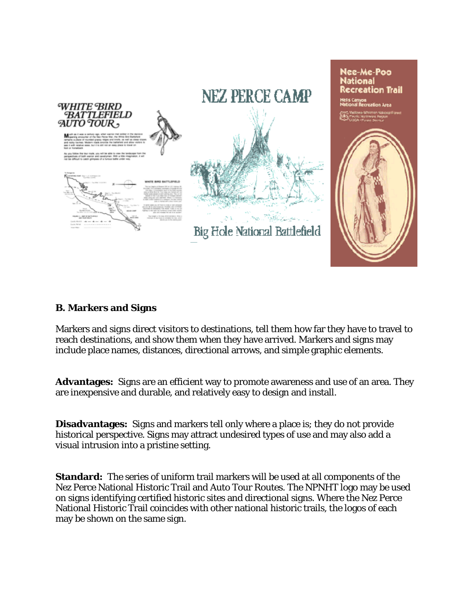

# **B. Markers and Signs**

Markers and signs direct visitors to destinations, tell them how far they have to travel to reach destinations, and show them when they have arrived. Markers and signs may include place names, distances, directional arrows, and simple graphic elements.

**Advantages:** Signs are an efficient way to promote awareness and use of an area. They are inexpensive and durable, and relatively easy to design and install.

**Disadvantages:** Signs and markers tell only where a place is; they do not provide historical perspective. Signs may attract undesired types of use and may also add a visual intrusion into a pristine setting.

**Standard:** The series of uniform trail markers will be used at all components of the Nez Perce National Historic Trail and Auto Tour Routes. The NPNHT logo may be used on signs identifying certified historic sites and directional signs. Where the Nez Perce National Historic Trail coincides with other national historic trails, the logos of each may be shown on the same sign.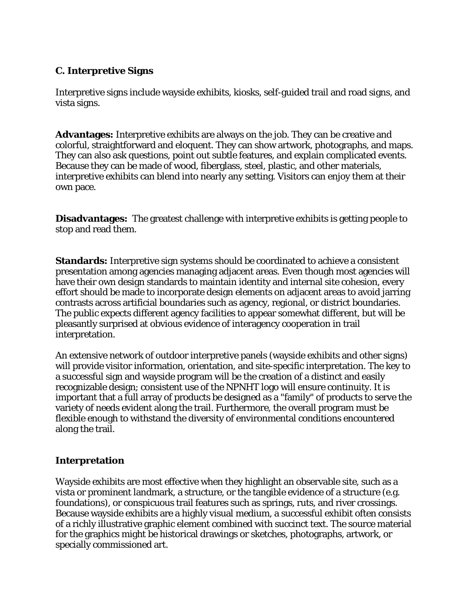# **C. Interpretive Signs**

Interpretive signs include wayside exhibits, kiosks, self-guided trail and road signs, and vista signs.

**Advantages:** Interpretive exhibits are always on the job. They can be creative and colorful, straightforward and eloquent. They can show artwork, photographs, and maps. They can also ask questions, point out subtle features, and explain complicated events. Because they can be made of wood, fiberglass, steel, plastic, and other materials, interpretive exhibits can blend into nearly any setting. Visitors can enjoy them at their own pace.

**Disadvantages:** The greatest challenge with interpretive exhibits is getting people to stop and read them.

**Standards:** Interpretive sign systems should be coordinated to achieve a consistent presentation among agencies managing adjacent areas. Even though most agencies will have their own design standards to maintain identity and internal site cohesion, every effort should be made to incorporate design elements on adjacent areas to avoid jarring contrasts across artificial boundaries such as agency, regional, or district boundaries. The public expects different agency facilities to appear somewhat different, but will be pleasantly surprised at obvious evidence of interagency cooperation in trail interpretation.

An extensive network of outdoor interpretive panels (wayside exhibits and other signs) will provide visitor information, orientation, and site-specific interpretation. The key to a successful sign and wayside program will be the creation of a distinct and easily recognizable design; consistent use of the NPNHT logo will ensure continuity. It is important that a full array of products be designed as a "family" of products to serve the variety of needs evident along the trail. Furthermore, the overall program must be flexible enough to withstand the diversity of environmental conditions encountered along the trail.

# **Interpretation**

Wayside exhibits are most effective when they highlight an observable site, such as a vista or prominent landmark, a structure, or the tangible evidence of a structure (e.g. foundations), or conspicuous trail features such as springs, ruts, and river crossings. Because wayside exhibits are a highly visual medium, a successful exhibit often consists of a richly illustrative graphic element combined with succinct text. The source material for the graphics might be historical drawings or sketches, photographs, artwork, or specially commissioned art.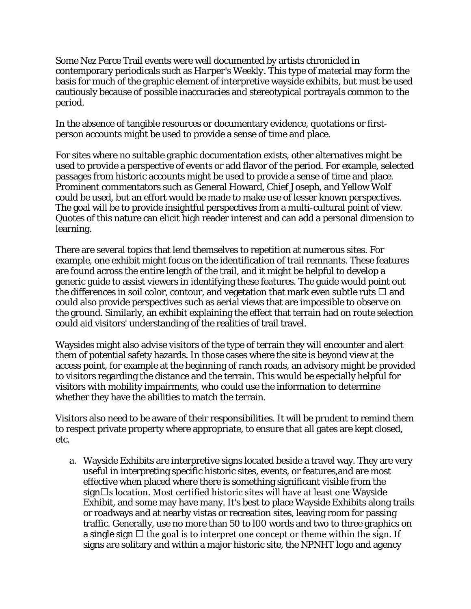Some Nez Perce Trail events were well documented by artists chronicled in contemporary periodicals such as *Harper's Weekly*. This type of material may form the basis for much of the graphic element of interpretive wayside exhibits, but must be used cautiously because of possible inaccuracies and stereotypical portrayals common to the period.

In the absence of tangible resources or documentary evidence, quotations or firstperson accounts might be used to provide a sense of time and place.

For sites where no suitable graphic documentation exists, other alternatives might be used to provide a perspective of events or add flavor of the period. For example, selected passages from historic accounts might be used to provide a sense of time and place. Prominent commentators such as General Howard, Chief Joseph, and Yellow Wolf could be used, but an effort would be made to make use of lesser known perspectives. The goal will be to provide insightful perspectives from a multi-cultural point of view. Quotes of this nature can elicit high reader interest and can add a personal dimension to learning.

There are several topics that lend themselves to repetition at numerous sites. For example, one exhibit might focus on the identification of trail remnants. These features are found across the entire length of the trail, and it might be helpful to develop a generic guide to assist viewers in identifying these features. The guide would point out the differences in soil color, contour, and vegetation that mark even subtle ruts  $\Box$  and could also provide perspectives such as aerial views that are impossible to observe on the ground. Similarly, an exhibit explaining the effect that terrain had on route selection could aid visitors' understanding of the realities of trail travel.

Waysides might also advise visitors of the type of terrain they will encounter and alert them of potential safety hazards. In those cases where the site is beyond view at the access point, for example at the beginning of ranch roads, an advisory might be provided to visitors regarding the distance and the terrain. This would be especially helpful for visitors with mobility impairments, who could use the information to determine whether they have the abilities to match the terrain.

Visitors also need to be aware of their responsibilities. It will be prudent to remind them to respect private property where appropriate, to ensure that all gates are kept closed, etc.

a. Wayside Exhibits are interpretive signs located beside a travel way. They are very useful in interpreting specific historic sites, events, or features,and are most effective when placed where there is something significant visible from the  $sign\Box s$  location. Most certified historic sites will have at least one Wayside Exhibit, and some may have many. It's best to place Wayside Exhibits along trails or roadways and at nearby vistas or recreation sites, leaving room for passing traffic. Generally, use no more than 50 to l00 words and two to three graphics on a single sign  $\Box$  the goal is to interpret one concept or theme within the sign. If signs are solitary and within a major historic site, the NPNHT logo and agency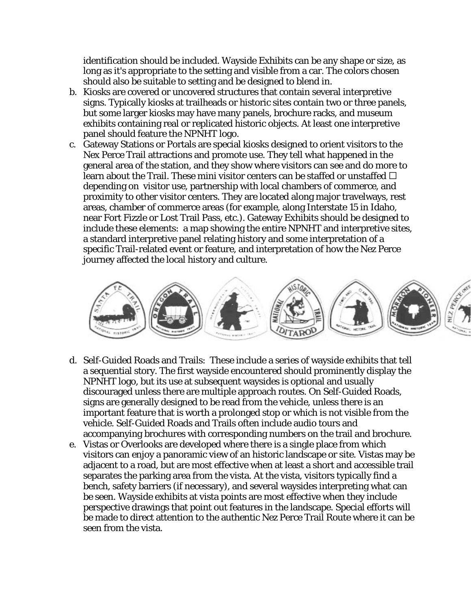identification should be included. Wayside Exhibits can be any shape or size, as long as it's appropriate to the setting and visible from a car. The colors chosen should also be suitable to setting and be designed to blend in.

- b. Kiosks are covered or uncovered structures that contain several interpretive signs. Typically kiosks at trailheads or historic sites contain two or three panels, but some larger kiosks may have many panels, brochure racks, and museum exhibits containing real or replicated historic objects. At least one interpretive panel should feature the NPNHT logo.
- c. Gateway Stations or Portals are special kiosks designed to orient visitors to the Nex Perce Trail attractions and promote use. They tell what happened in the general area of the station, and they show where visitors can see and do more to learn about the Trail. These mini visitor centers can be staffed or unstaffed  $\Box$ depending on visitor use, partnership with local chambers of commerce, and proximity to other visitor centers. They are located along major travelways, rest areas, chamber of commerce areas (for example, along Interstate 15 in Idaho, near Fort Fizzle or Lost Trail Pass, etc.). Gateway Exhibits should be designed to include these elements: a map showing the entire NPNHT and interpretive sites, a standard interpretive panel relating history and some interpretation of a specific Trail-related event or feature, and interpretation of how the Nez Perce journey affected the local history and culture.



- d. Self-Guided Roads and Trails: These include a series of wayside exhibits that tell a sequential story. The first wayside encountered should prominently display the NPNHT logo, but its use at subsequent waysides is optional and usually discouraged unless there are multiple approach routes. On Self-Guided Roads, signs are generally designed to be read from the vehicle, unless there is an important feature that is worth a prolonged stop or which is not visible from the vehicle. Self-Guided Roads and Trails often include audio tours and accompanying brochures with corresponding numbers on the trail and brochure.
- e. Vistas or Overlooks are developed where there is a single place from which visitors can enjoy a panoramic view of an historic landscape or site. Vistas may be adjacent to a road, but are most effective when at least a short and accessible trail separates the parking area from the vista. At the vista, visitors typically find a bench, safety barriers (if necessary), and several waysides interpreting what can be seen. Wayside exhibits at vista points are most effective when they include perspective drawings that point out features in the landscape. Special efforts will be made to direct attention to the authentic Nez Perce Trail Route where it can be seen from the vista.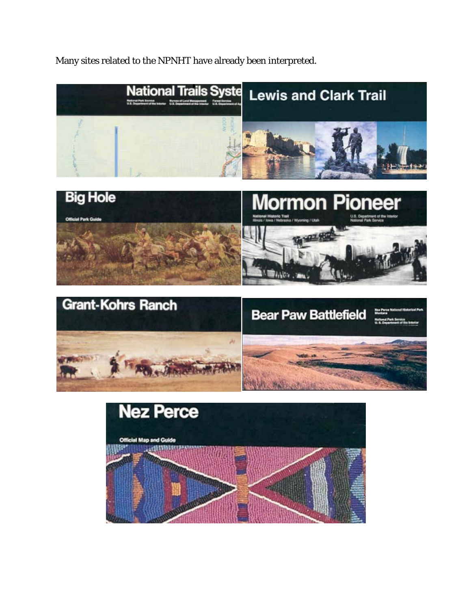Many sites related to the NPNHT have already been interpreted.





**ALLES** 

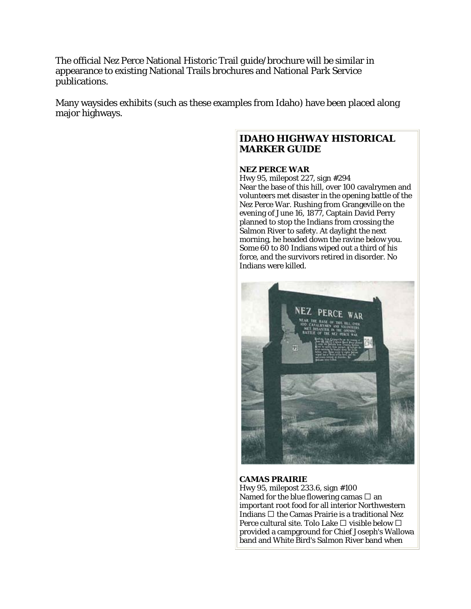The official Nez Perce National Historic Trail guide/brochure will be similar in appearance to existing National Trails brochures and National Park Service publications.

Many waysides exhibits (such as these examples from Idaho) have been placed along major highways.

#### **IDAHO HIGHWAY HISTORICAL MARKER GUIDE**

#### **NEZ PERCE WAR**

Hwy 95, milepost 227, sign #294 Near the base of this hill, over 100 cavalrymen and volunteers met disaster in the opening battle of the Nez Perce War. Rushing from Grangeville on the evening of June 16, 1877, Captain David Perry planned to stop the Indians from crossing the Salmon River to safety. At daylight the next morning, he headed down the ravine below you. Some 60 to 80 Indians wiped out a third of his force, and the survivors retired in disorder. No Indians were killed.



#### **CAMAS PRAIRIE**

Hwy 95, milepost 233.6, sign #100 Named for the blue flowering camas  $\Box$  an important root food for all interior Northwestern Indians  $\Box$  the Camas Prairie is a traditional Nez Perce cultural site. Tolo Lake  $\Box$  visible below  $\Box$ provided a campground for Chief Joseph's Wallowa band and White Bird's Salmon River band when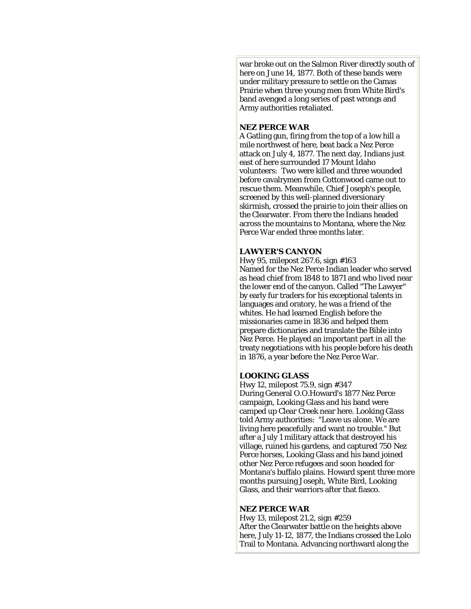war broke out on the Salmon River directly south of here on June 14, 1877. Both of these bands were under military pressure to settle on the Camas Prairie when three young men from White Bird's band avenged a long series of past wrongs and Army authorities retaliated.

#### **NEZ PERCE WAR**

A Gatling gun, firing from the top of a low hill a mile northwest of here, beat back a Nez Perce attack on July 4, 1877. The next day, Indians just east of here surrounded 17 Mount Idaho volunteers: Two were killed and three wounded before cavalrymen from Cottonwood came out to rescue them. Meanwhile, Chief Joseph's people, screened by this well-planned diversionary skirmish, crossed the prairie to join their allies on the Clearwater. From there the Indians headed across the mountains to Montana, where the Nez Perce War ended three months later.

#### **LAWYER'S CANYON**

Hwy 95, milepost 267.6, sign #163 Named for the Nez Perce Indian leader who served as head chief from 1848 to 1871 and who lived near the lower end of the canyon. Called "The Lawyer" by early fur traders for his exceptional talents in languages and oratory, he was a friend of the whites. He had learned English before the missionaries came in 1836 and helped them prepare dictionaries and translate the Bible into Nez Perce. He played an important part in all the treaty negotiations with his people before his death in 1876, a year before the Nez Perce War.

#### **LOOKING GLASS**

Hwy 12, milepost 75.9, sign #347 During General O.O.Howard's 1877 Nez Perce campaign, Looking Glass and his band were camped up Clear Creek near here. Looking Glass told Army authorities: "Leave us alone. We are living here peacefully and want no trouble." But after a July 1 military attack that destroyed his village, ruined his gardens, and captured 750 Nez Perce horses, Looking Glass and his band joined other Nez Perce refugees and soon headed for Montana's buffalo plains. Howard spent three more months pursuing Joseph, White Bird, Looking Glass, and their warriors after that fiasco.

#### **NEZ PERCE WAR**

Hwy 13, milepost 21.2, sign #259 After the Clearwater battle on the heights above here, July 11-12, 1877, the Indians crossed the Lolo Trail to Montana. Advancing northward along the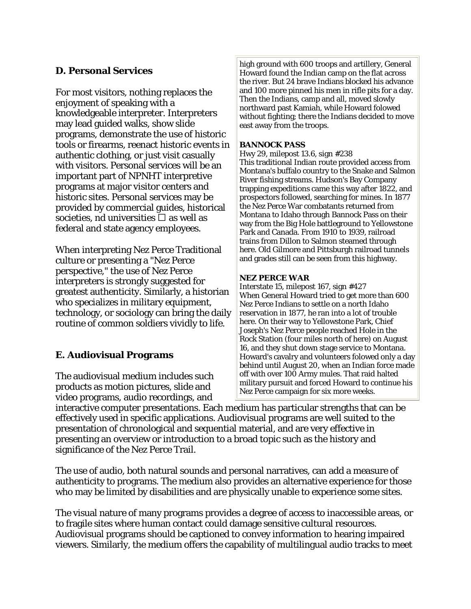# **D. Personal Services**

For most visitors, nothing replaces the enjoyment of speaking with a knowledgeable interpreter. Interpreters may lead guided walks, show slide programs, demonstrate the use of historic tools or firearms, reenact historic events in authentic clothing, or just visit casually with visitors. Personal services will be an important part of NPNHT interpretive programs at major visitor centers and historic sites. Personal services may be provided by commercial guides, historical societies, nd universities  $\Box$  as well as federal and state agency employees.

When interpreting Nez Perce Traditional culture or presenting a "Nez Perce perspective," the use of Nez Perce interpreters is strongly suggested for greatest authenticity. Similarly, a historian who specializes in military equipment, technology, or sociology can bring the daily routine of common soldiers vividly to life.

# **E. Audiovisual Programs**

The audiovisual medium includes such products as motion pictures, slide and video programs, audio recordings, and

high ground with 600 troops and artillery, General Howard found the Indian camp on the flat across the river. But 24 brave Indians blocked his advance and 100 more pinned his men in rifle pits for a day. Then the Indians, camp and all, moved slowly northward past Kamiah, while Howard folowed without fighting; there the Indians decided to move east away from the troops.

#### **BANNOCK PASS**

Hwy 29, milepost 13.6, sign #238 This traditional Indian route provided access from Montana's buffalo country to the Snake and Salmon River fishing streams. Hudson's Bay Company trapping expeditions came this way after 1822, and prospectors followed, searching for mines. In 1877 the Nez Perce War combatants returned from Montana to Idaho through Bannock Pass on their way from the Big Hole battleground to Yellowstone Park and Canada. From 1910 to 1939, railroad trains from Dillon to Salmon steamed through here. Old Gilmore and Pittsburgh railroad tunnels and grades still can be seen from this highway.

#### **NEZ PERCE WAR**

Interstate 15, milepost 167, sign #427 When General Howard tried to get more than 600 Nez Perce Indians to settle on a north Idaho reservation in 1877, he ran into a lot of trouble here. On their way to Yellowstone Park, Chief Joseph's Nez Perce people reached Hole in the Rock Station (four miles north of here) on August 16, and they shut down stage service to Montana. Howard's cavalry and volunteers folowed only a day behind until August 20, when an Indian force made off with over 100 Army mules. That raid halted military pursuit and forced Howard to continue his Nez Perce campaign for six more weeks.

interactive computer presentations. Each medium has particular strengths that can be effectively used in specific applications. Audiovisual programs are well suited to the presentation of chronological and sequential material, and are very effective in presenting an overview or introduction to a broad topic such as the history and significance of the Nez Perce Trail.

The use of audio, both natural sounds and personal narratives, can add a measure of authenticity to programs. The medium also provides an alternative experience for those who may be limited by disabilities and are physically unable to experience some sites.

The visual nature of many programs provides a degree of access to inaccessible areas, or to fragile sites where human contact could damage sensitive cultural resources. Audiovisual programs should be captioned to convey information to hearing impaired viewers. Similarly, the medium offers the capability of multilingual audio tracks to meet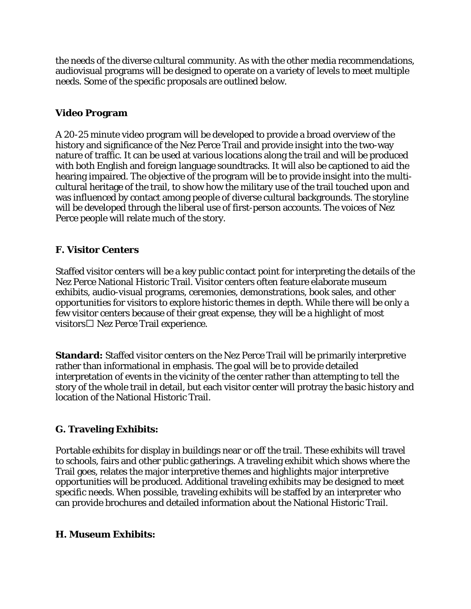the needs of the diverse cultural community. As with the other media recommendations, audiovisual programs will be designed to operate on a variety of levels to meet multiple needs. Some of the specific proposals are outlined below.

# **Video Program**

A 20-25 minute video program will be developed to provide a broad overview of the history and significance of the Nez Perce Trail and provide insight into the two-way nature of traffic. It can be used at various locations along the trail and will be produced with both English and foreign language soundtracks. It will also be captioned to aid the hearing impaired. The objective of the program will be to provide insight into the multicultural heritage of the trail, to show how the military use of the trail touched upon and was influenced by contact among people of diverse cultural backgrounds. The storyline will be developed through the liberal use of first-person accounts. The voices of Nez Perce people will relate much of the story.

# **F. Visitor Centers**

Staffed visitor centers will be a key public contact point for interpreting the details of the Nez Perce National Historic Trail. Visitor centers often feature elaborate museum exhibits, audio-visual programs, ceremonies, demonstrations, book sales, and other opportunities for visitors to explore historic themes in depth. While there will be only a few visitor centers because of their great expense, they will be a highlight of most visitors  $\Box$  Nez Perce Trail experience.

**Standard:** Staffed visitor centers on the Nez Perce Trail will be primarily interpretive rather than informational in emphasis. The goal will be to provide detailed interpretation of events in the vicinity of the center rather than attempting to tell the story of the whole trail in detail, but each visitor center will protray the basic history and location of the National Historic Trail.

# **G. Traveling Exhibits:**

Portable exhibits for display in buildings near or off the trail. These exhibits will travel to schools, fairs and other public gatherings. A traveling exhibit which shows where the Trail goes, relates the major interpretive themes and highlights major interpretive opportunities will be produced. Additional traveling exhibits may be designed to meet specific needs. When possible, traveling exhibits will be staffed by an interpreter who can provide brochures and detailed information about the National Historic Trail.

# **H. Museum Exhibits:**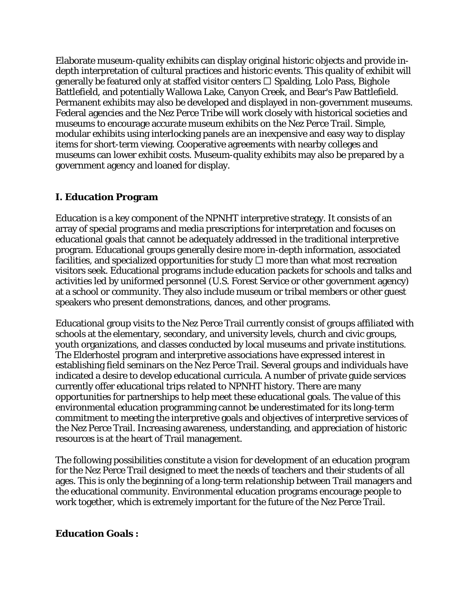Elaborate museum-quality exhibits can display original historic objects and provide indepth interpretation of cultural practices and historic events. This quality of exhibit will generally be featured only at staffed visitor centers  $\Box$  Spalding, Lolo Pass, Bighole Battlefield, and potentially Wallowa Lake, Canyon Creek, and Bear's Paw Battlefield. Permanent exhibits may also be developed and displayed in non-government museums. Federal agencies and the Nez Perce Tribe will work closely with historical societies and museums to encourage accurate museum exhibits on the Nez Perce Trail. Simple, modular exhibits using interlocking panels are an inexpensive and easy way to display items for short-term viewing. Cooperative agreements with nearby colleges and museums can lower exhibit costs. Museum-quality exhibits may also be prepared by a government agency and loaned for display.

# **I. Education Program**

Education is a key component of the NPNHT interpretive strategy. It consists of an array of special programs and media prescriptions for interpretation and focuses on educational goals that cannot be adequately addressed in the traditional interpretive program. Educational groups generally desire more in-depth information, associated facilities, and specialized opportunities for study  $\Box$  more than what most recreation visitors seek. Educational programs include education packets for schools and talks and activities led by uniformed personnel (U.S. Forest Service or other government agency) at a school or community. They also include museum or tribal members or other guest speakers who present demonstrations, dances, and other programs.

Educational group visits to the Nez Perce Trail currently consist of groups affiliated with schools at the elementary, secondary, and university levels, church and civic groups, youth organizations, and classes conducted by local museums and private institutions. The Elderhostel program and interpretive associations have expressed interest in establishing field seminars on the Nez Perce Trail. Several groups and individuals have indicated a desire to develop educational curricula. A number of private guide services currently offer educational trips related to NPNHT history. There are many opportunities for partnerships to help meet these educational goals. The value of this environmental education programming cannot be underestimated for its long-term commitment to meeting the interpretive goals and objectives of interpretive services of the Nez Perce Trail. Increasing awareness, understanding, and appreciation of historic resources is at the heart of Trail management.

The following possibilities constitute a vision for development of an education program for the Nez Perce Trail designed to meet the needs of teachers and their students of all ages. This is only the beginning of a long-term relationship between Trail managers and the educational community. Environmental education programs encourage people to work together, which is extremely important for the future of the Nez Perce Trail.

# **Education Goals :**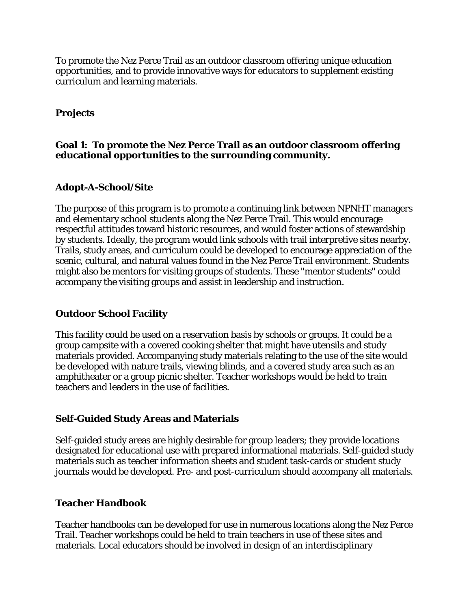To promote the Nez Perce Trail as an outdoor classroom offering unique education opportunities, and to provide innovative ways for educators to supplement existing curriculum and learning materials.

# **Projects**

#### **Goal 1: To promote the Nez Perce Trail as an outdoor classroom offering educational opportunities to the surrounding community.**

# **Adopt-A-School/Site**

The purpose of this program is to promote a continuing link between NPNHT managers and elementary school students along the Nez Perce Trail. This would encourage respectful attitudes toward historic resources, and would foster actions of stewardship by students. Ideally, the program would link schools with trail interpretive sites nearby. Trails, study areas, and curriculum could be developed to encourage appreciation of the scenic, cultural, and natural values found in the Nez Perce Trail environment. Students might also be mentors for visiting groups of students. These "mentor students" could accompany the visiting groups and assist in leadership and instruction.

#### **Outdoor School Facility**

This facility could be used on a reservation basis by schools or groups. It could be a group campsite with a covered cooking shelter that might have utensils and study materials provided. Accompanying study materials relating to the use of the site would be developed with nature trails, viewing blinds, and a covered study area such as an amphitheater or a group picnic shelter. Teacher workshops would be held to train teachers and leaders in the use of facilities.

#### **Self-Guided Study Areas and Materials**

Self-guided study areas are highly desirable for group leaders; they provide locations designated for educational use with prepared informational materials. Self-guided study materials such as teacher information sheets and student task-cards or student study journals would be developed. Pre- and post-curriculum should accompany all materials.

#### **Teacher Handbook**

Teacher handbooks can be developed for use in numerous locations along the Nez Perce Trail. Teacher workshops could be held to train teachers in use of these sites and materials. Local educators should be involved in design of an interdisciplinary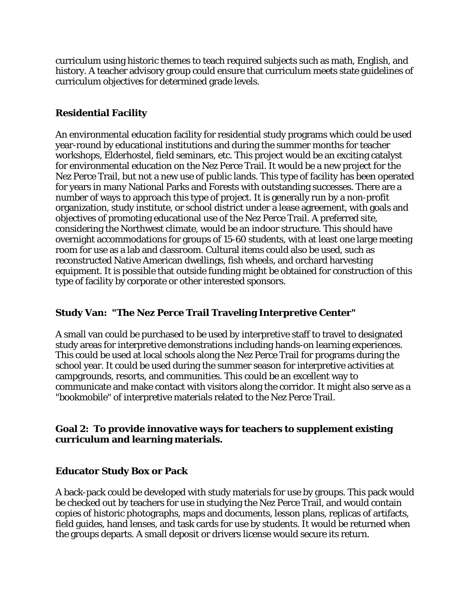curriculum using historic themes to teach required subjects such as math, English, and history. A teacher advisory group could ensure that curriculum meets state guidelines of curriculum objectives for determined grade levels.

# **Residential Facility**

An environmental education facility for residential study programs which could be used year-round by educational institutions and during the summer months for teacher workshops, Elderhostel, field seminars, etc. This project would be an exciting catalyst for environmental education on the Nez Perce Trail. It would be a new project for the Nez Perce Trail, but not a new use of public lands. This type of facility has been operated for years in many National Parks and Forests with outstanding successes. There are a number of ways to approach this type of project. It is generally run by a non-profit organization, study institute, or school district under a lease agreement, with goals and objectives of promoting educational use of the Nez Perce Trail. A preferred site, considering the Northwest climate, would be an indoor structure. This should have overnight accommodations for groups of 15-60 students, with at least one large meeting room for use as a lab and classroom. Cultural items could also be used, such as reconstructed Native American dwellings, fish wheels, and orchard harvesting equipment. It is possible that outside funding might be obtained for construction of this type of facility by corporate or other interested sponsors.

# **Study Van: "The Nez Perce Trail Traveling Interpretive Center"**

A small van could be purchased to be used by interpretive staff to travel to designated study areas for interpretive demonstrations including hands-on learning experiences. This could be used at local schools along the Nez Perce Trail for programs during the school year. It could be used during the summer season for interpretive activities at campgrounds, resorts, and communities. This could be an excellent way to communicate and make contact with visitors along the corridor. It might also serve as a "bookmobile" of interpretive materials related to the Nez Perce Trail.

# **Goal 2: To provide innovative ways for teachers to supplement existing curriculum and learning materials.**

# **Educator Study Box or Pack**

A back-pack could be developed with study materials for use by groups. This pack would be checked out by teachers for use in studying the Nez Perce Trail, and would contain copies of historic photographs, maps and documents, lesson plans, replicas of artifacts, field guides, hand lenses, and task cards for use by students. It would be returned when the groups departs. A small deposit or drivers license would secure its return.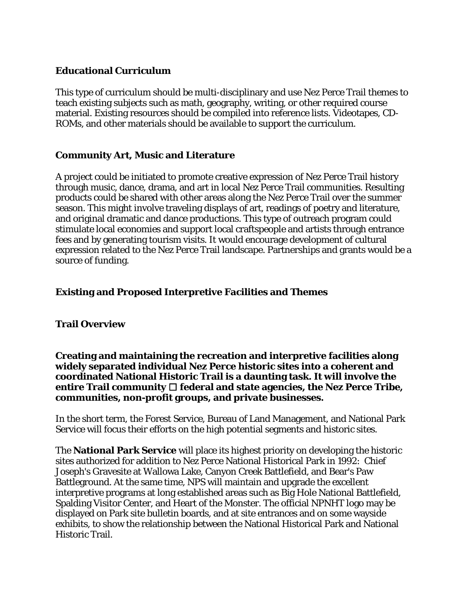# **Educational Curriculum**

This type of curriculum should be multi-disciplinary and use Nez Perce Trail themes to teach existing subjects such as math, geography, writing, or other required course material. Existing resources should be compiled into reference lists. Videotapes, CD-ROMs, and other materials should be available to support the curriculum.

#### **Community Art, Music and Literature**

A project could be initiated to promote creative expression of Nez Perce Trail history through music, dance, drama, and art in local Nez Perce Trail communities. Resulting products could be shared with other areas along the Nez Perce Trail over the summer season. This might involve traveling displays of art, readings of poetry and literature, and original dramatic and dance productions. This type of outreach program could stimulate local economies and support local craftspeople and artists through entrance fees and by generating tourism visits. It would encourage development of cultural expression related to the Nez Perce Trail landscape. Partnerships and grants would be a source of funding.

#### **Existing and Proposed Interpretive Facilities and Themes**

#### **Trail Overview**

#### **Creating and maintaining the recreation and interpretive facilities along widely separated individual Nez Perce historic sites into a coherent and coordinated National Historic Trail is a daunting task. It will involve the entire Trail community federal and state agencies, the Nez Perce Tribe, communities, non-profit groups, and private businesses.**

In the short term, the Forest Service, Bureau of Land Management, and National Park Service will focus their efforts on the high potential segments and historic sites.

The **National Park Service** will place its highest priority on developing the historic sites authorized for addition to Nez Perce National Historical Park in 1992: Chief Joseph's Gravesite at Wallowa Lake, Canyon Creek Battlefield, and Bear's Paw Battleground. At the same time, NPS will maintain and upgrade the excellent interpretive programs at long established areas such as Big Hole National Battlefield, Spalding Visitor Center, and Heart of the Monster. The official NPNHT logo may be displayed on Park site bulletin boards, and at site entrances and on some wayside exhibits, to show the relationship between the National Historical Park and National Historic Trail.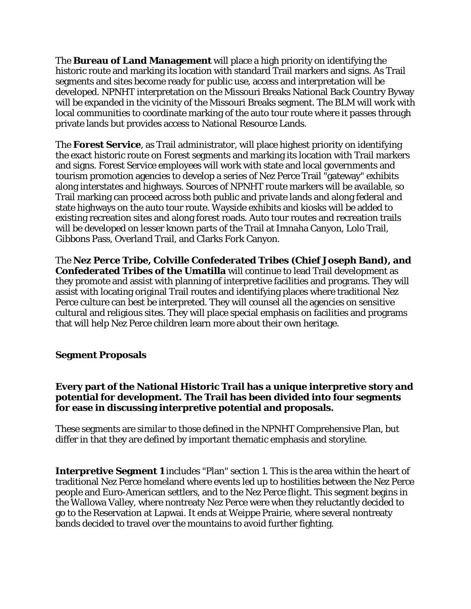The **Bureau of Land Management** will place a high priority on identifying the historic route and marking its location with standard Trail markers and signs. As Trail segments and sites become ready for public use, access and interpretation will be developed. NPNHT interpretation on the Missouri Breaks National Back Country Byway will be expanded in the vicinity of the Missouri Breaks segment. The BLM will work with local communities to coordinate marking of the auto tour route where it passes through private lands but provides access to National Resource Lands.

The **Forest Service**, as Trail administrator, will place highest priority on identifying the exact historic route on Forest segments and marking its location with Trail markers and signs. Forest Service employees will work with state and local governments and tourism promotion agencies to develop a series of Nez Perce Trail "gateway" exhibits along interstates and highways. Sources of NPNHT route markers will be available, so Trail marking can proceed across both public and private lands and along federal and state highways on the auto tour route. Wayside exhibits and kiosks will be added to existing recreation sites and along forest roads. Auto tour routes and recreation trails will be developed on lesser known parts of the Trail at Imnaha Canyon, Lolo Trail, Gibbons Pass, Overland Trail, and Clarks Fork Canyon.

The **Nez Perce Tribe, Colville Confederated Tribes (Chief Joseph Band), and Confederated Tribes of the Umatilla** will continue to lead Trail development as they promote and assist with planning of interpretive facilities and programs. They will assist with locating original Trail routes and identifying places where traditional Nez Perce culture can best be interpreted. They will counsel all the agencies on sensitive cultural and religious sites. They will place special emphasis on facilities and programs that will help Nez Perce children learn more about their own heritage.

# **Segment Proposals**

#### **Every part of the National Historic Trail has a unique interpretive story and potential for development. The Trail has been divided into four segments for ease in discussing interpretive potential and proposals.**

These segments are similar to those defined in the NPNHT Comprehensive Plan, but differ in that they are defined by important thematic emphasis and storyline.

**Interpretive Segment 1** includes "Plan" section 1. This is the area within the heart of traditional Nez Perce homeland where events led up to hostilities between the Nez Perce people and Euro-American settlers, and to the Nez Perce flight. This segment begins in the Wallowa Valley, where nontreaty Nez Perce were when they reluctantly decided to go to the Reservation at Lapwai. It ends at Weippe Prairie, where several nontreaty bands decided to travel over the mountains to avoid further fighting.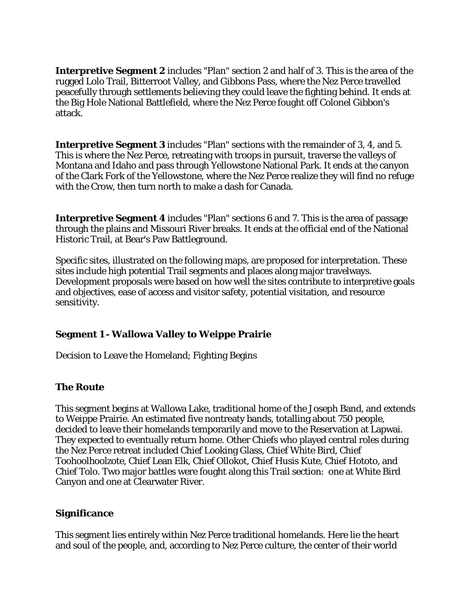**Interpretive Segment 2** includes "Plan" section 2 and half of 3. This is the area of the rugged Lolo Trail, Bitterroot Valley, and Gibbons Pass, where the Nez Perce travelled peacefully through settlements believing they could leave the fighting behind. It ends at the Big Hole National Battlefield, where the Nez Perce fought off Colonel Gibbon's attack.

**Interpretive Segment 3** includes "Plan" sections with the remainder of 3, 4, and 5. This is where the Nez Perce, retreating with troops in pursuit, traverse the valleys of Montana and Idaho and pass through Yellowstone National Park. It ends at the canyon of the Clark Fork of the Yellowstone, where the Nez Perce realize they will find no refuge with the Crow, then turn north to make a dash for Canada.

**Interpretive Segment 4** includes "Plan" sections 6 and 7. This is the area of passage through the plains and Missouri River breaks. It ends at the official end of the National Historic Trail, at Bear's Paw Battleground.

Specific sites, illustrated on the following maps, are proposed for interpretation. These sites include high potential Trail segments and places along major travelways. Development proposals were based on how well the sites contribute to interpretive goals and objectives, ease of access and visitor safety, potential visitation, and resource sensitivity.

# **Segment 1 - Wallowa Valley to Weippe Prairie**

Decision to Leave the Homeland; Fighting Begins

# **The Route**

This segment begins at Wallowa Lake, traditional home of the Joseph Band, and extends to Weippe Prairie. An estimated five nontreaty bands, totalling about 750 people, decided to leave their homelands temporarily and move to the Reservation at Lapwai. They expected to eventually return home. Other Chiefs who played central roles during the Nez Perce retreat included Chief Looking Glass, Chief White Bird, Chief Toohoolhoolzote, Chief Lean Elk, Chief Ollokot, Chief Husis Kute, Chief Hototo, and Chief Tolo. Two major battles were fought along this Trail section: one at White Bird Canyon and one at Clearwater River.

# **Significance**

This segment lies entirely within Nez Perce traditional homelands. Here lie the heart and soul of the people, and, according to Nez Perce culture, the center of their world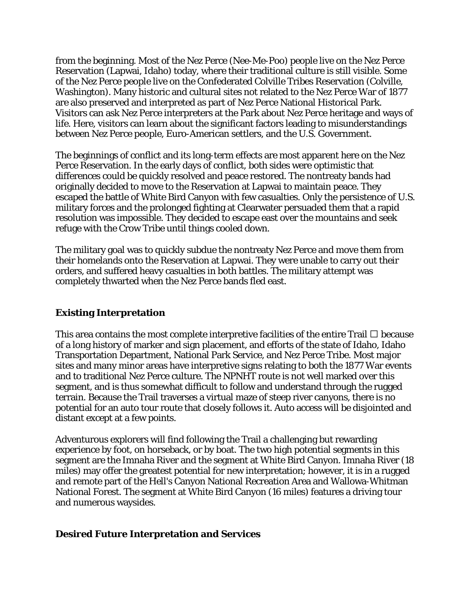from the beginning. Most of the Nez Perce (Nee-Me-Poo) people live on the Nez Perce Reservation (Lapwai, Idaho) today, where their traditional culture is still visible. Some of the Nez Perce people live on the Confederated Colville Tribes Reservation (Colville, Washington). Many historic and cultural sites not related to the Nez Perce War of 1877 are also preserved and interpreted as part of Nez Perce National Historical Park. Visitors can ask Nez Perce interpreters at the Park about Nez Perce heritage and ways of life. Here, visitors can learn about the significant factors leading to misunderstandings between Nez Perce people, Euro-American settlers, and the U.S. Government.

The beginnings of conflict and its long-term effects are most apparent here on the Nez Perce Reservation. In the early days of conflict, both sides were optimistic that differences could be quickly resolved and peace restored. The nontreaty bands had originally decided to move to the Reservation at Lapwai to maintain peace. They escaped the battle of White Bird Canyon with few casualties. Only the persistence of U.S. military forces and the prolonged fighting at Clearwater persuaded them that a rapid resolution was impossible. They decided to escape east over the mountains and seek refuge with the Crow Tribe until things cooled down.

The military goal was to quickly subdue the nontreaty Nez Perce and move them from their homelands onto the Reservation at Lapwai. They were unable to carry out their orders, and suffered heavy casualties in both battles. The military attempt was completely thwarted when the Nez Perce bands fled east.

# **Existing Interpretation**

This area contains the most complete interpretive facilities of the entire Trail  $\Box$  because of a long history of marker and sign placement, and efforts of the state of Idaho, Idaho Transportation Department, National Park Service, and Nez Perce Tribe. Most major sites and many minor areas have interpretive signs relating to both the 1877 War events and to traditional Nez Perce culture. The NPNHT route is not well marked over this segment, and is thus somewhat difficult to follow and understand through the rugged terrain. Because the Trail traverses a virtual maze of steep river canyons, there is no potential for an auto tour route that closely follows it. Auto access will be disjointed and distant except at a few points.

Adventurous explorers will find following the Trail a challenging but rewarding experience by foot, on horseback, or by boat. The two high potential segments in this segment are the Imnaha River and the segment at White Bird Canyon. Imnaha River (18 miles) may offer the greatest potential for new interpretation; however, it is in a rugged and remote part of the Hell's Canyon National Recreation Area and Wallowa-Whitman National Forest. The segment at White Bird Canyon (16 miles) features a driving tour and numerous waysides.

#### **Desired Future Interpretation and Services**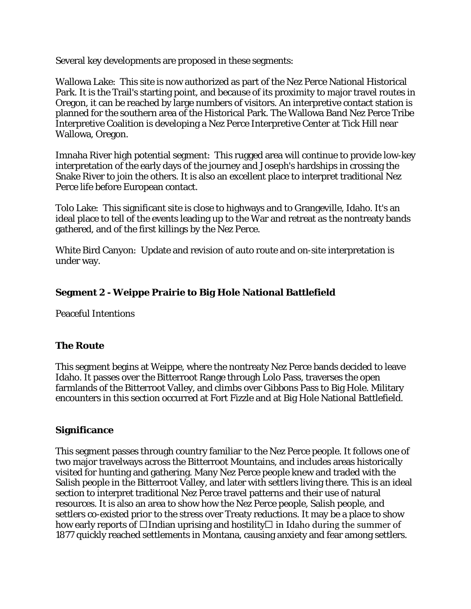Several key developments are proposed in these segments:

Wallowa Lake: This site is now authorized as part of the Nez Perce National Historical Park. It is the Trail's starting point, and because of its proximity to major travel routes in Oregon, it can be reached by large numbers of visitors. An interpretive contact station is planned for the southern area of the Historical Park. The Wallowa Band Nez Perce Tribe Interpretive Coalition is developing a Nez Perce Interpretive Center at Tick Hill near Wallowa, Oregon.

Imnaha River high potential segment: This rugged area will continue to provide low-key interpretation of the early days of the journey and Joseph's hardships in crossing the Snake River to join the others. It is also an excellent place to interpret traditional Nez Perce life before European contact.

Tolo Lake: This significant site is close to highways and to Grangeville, Idaho. It's an ideal place to tell of the events leading up to the War and retreat as the nontreaty bands gathered, and of the first killings by the Nez Perce.

White Bird Canyon: Update and revision of auto route and on-site interpretation is under way.

#### **Segment 2 - Weippe Prairie to Big Hole National Battlefield**

Peaceful Intentions

#### **The Route**

This segment begins at Weippe, where the nontreaty Nez Perce bands decided to leave Idaho. It passes over the Bitterroot Range through Lolo Pass, traverses the open farmlands of the Bitterroot Valley, and climbs over Gibbons Pass to Big Hole. Military encounters in this section occurred at Fort Fizzle and at Big Hole National Battlefield.

#### **Significance**

This segment passes through country familiar to the Nez Perce people. It follows one of two major travelways across the Bitterroot Mountains, and includes areas historically visited for hunting and gathering. Many Nez Perce people knew and traded with the Salish people in the Bitterroot Valley, and later with settlers living there. This is an ideal section to interpret traditional Nez Perce travel patterns and their use of natural resources. It is also an area to show how the Nez Perce people, Salish people, and settlers co-existed prior to the stress over Treaty reductions. It may be a place to show how early reports of  $\Box$ Indian uprising and hostility  $\Box$  in Idaho during the summer of 1877 quickly reached settlements in Montana, causing anxiety and fear among settlers.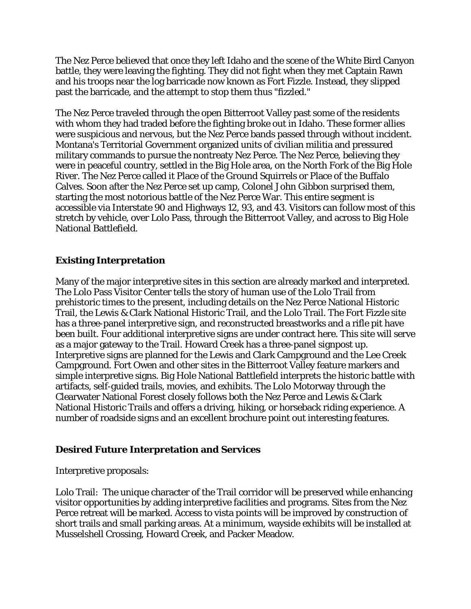The Nez Perce believed that once they left Idaho and the scene of the White Bird Canyon battle, they were leaving the fighting. They did not fight when they met Captain Rawn and his troops near the log barricade now known as Fort Fizzle. Instead, they slipped past the barricade, and the attempt to stop them thus "fizzled."

The Nez Perce traveled through the open Bitterroot Valley past some of the residents with whom they had traded before the fighting broke out in Idaho. These former allies were suspicious and nervous, but the Nez Perce bands passed through without incident. Montana's Territorial Government organized units of civilian militia and pressured military commands to pursue the nontreaty Nez Perce. The Nez Perce, believing they were in peaceful country, settled in the Big Hole area, on the North Fork of the Big Hole River. The Nez Perce called it Place of the Ground Squirrels or Place of the Buffalo Calves. Soon after the Nez Perce set up camp, Colonel John Gibbon surprised them, starting the most notorious battle of the Nez Perce War. This entire segment is accessible via Interstate 90 and Highways 12, 93, and 43. Visitors can follow most of this stretch by vehicle, over Lolo Pass, through the Bitterroot Valley, and across to Big Hole National Battlefield.

# **Existing Interpretation**

Many of the major interpretive sites in this section are already marked and interpreted. The Lolo Pass Visitor Center tells the story of human use of the Lolo Trail from prehistoric times to the present, including details on the Nez Perce National Historic Trail, the Lewis & Clark National Historic Trail, and the Lolo Trail. The Fort Fizzle site has a three-panel interpretive sign, and reconstructed breastworks and a rifle pit have been built. Four additional interpretive signs are under contract here. This site will serve as a major gateway to the Trail. Howard Creek has a three-panel signpost up. Interpretive signs are planned for the Lewis and Clark Campground and the Lee Creek Campground. Fort Owen and other sites in the Bitterroot Valley feature markers and simple interpretive signs. Big Hole National Battlefield interprets the historic battle with artifacts, self-guided trails, movies, and exhibits. The Lolo Motorway through the Clearwater National Forest closely follows both the Nez Perce and Lewis & Clark National Historic Trails and offers a driving, hiking, or horseback riding experience. A number of roadside signs and an excellent brochure point out interesting features.

# **Desired Future Interpretation and Services**

Interpretive proposals:

Lolo Trail: The unique character of the Trail corridor will be preserved while enhancing visitor opportunities by adding interpretive facilities and programs. Sites from the Nez Perce retreat will be marked. Access to vista points will be improved by construction of short trails and small parking areas. At a minimum, wayside exhibits will be installed at Musselshell Crossing, Howard Creek, and Packer Meadow.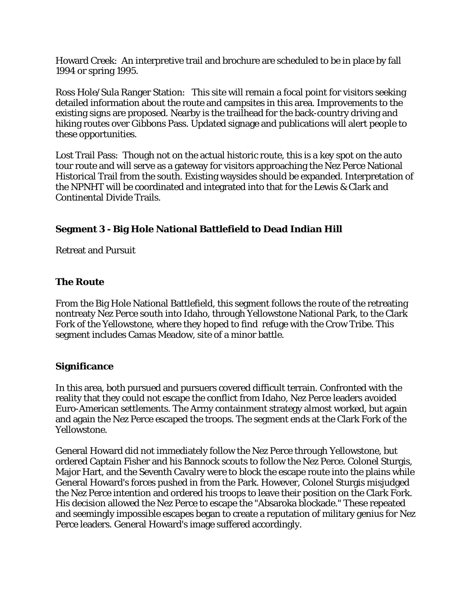Howard Creek: An interpretive trail and brochure are scheduled to be in place by fall 1994 or spring 1995.

Ross Hole/Sula Ranger Station: This site will remain a focal point for visitors seeking detailed information about the route and campsites in this area. Improvements to the existing signs are proposed. Nearby is the trailhead for the back-country driving and hiking routes over Gibbons Pass. Updated signage and publications will alert people to these opportunities.

Lost Trail Pass: Though not on the actual historic route, this is a key spot on the auto tour route and will serve as a gateway for visitors approaching the Nez Perce National Historical Trail from the south. Existing waysides should be expanded. Interpretation of the NPNHT will be coordinated and integrated into that for the Lewis & Clark and Continental Divide Trails.

# **Segment 3 - Big Hole National Battlefield to Dead Indian Hill**

Retreat and Pursuit

# **The Route**

From the Big Hole National Battlefield, this segment follows the route of the retreating nontreaty Nez Perce south into Idaho, through Yellowstone National Park, to the Clark Fork of the Yellowstone, where they hoped to find refuge with the Crow Tribe. This segment includes Camas Meadow, site of a minor battle.

# **Significance**

In this area, both pursued and pursuers covered difficult terrain. Confronted with the reality that they could not escape the conflict from Idaho, Nez Perce leaders avoided Euro-American settlements. The Army containment strategy almost worked, but again and again the Nez Perce escaped the troops. The segment ends at the Clark Fork of the Yellowstone.

General Howard did not immediately follow the Nez Perce through Yellowstone, but ordered Captain Fisher and his Bannock scouts to follow the Nez Perce. Colonel Sturgis, Major Hart, and the Seventh Cavalry were to block the escape route into the plains while General Howard's forces pushed in from the Park. However, Colonel Sturgis misjudged the Nez Perce intention and ordered his troops to leave their position on the Clark Fork. His decision allowed the Nez Perce to escape the "Absaroka blockade." These repeated and seemingly impossible escapes began to create a reputation of military genius for Nez Perce leaders. General Howard's image suffered accordingly.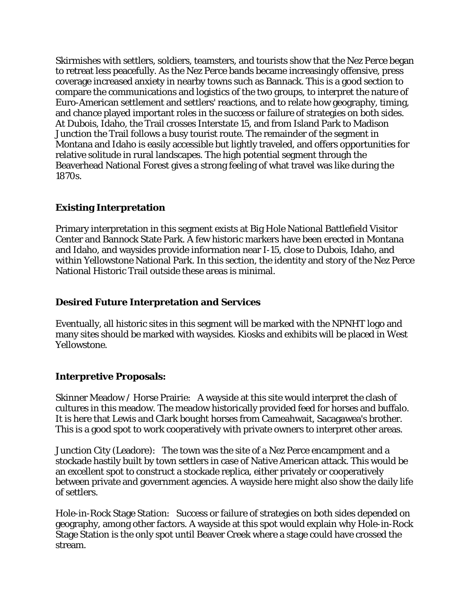Skirmishes with settlers, soldiers, teamsters, and tourists show that the Nez Perce began to retreat less peacefully. As the Nez Perce bands became increasingly offensive, press coverage increased anxiety in nearby towns such as Bannack. This is a good section to compare the communications and logistics of the two groups, to interpret the nature of Euro-American settlement and settlers' reactions, and to relate how geography, timing, and chance played important roles in the success or failure of strategies on both sides. At Dubois, Idaho, the Trail crosses Interstate 15, and from Island Park to Madison Junction the Trail follows a busy tourist route. The remainder of the segment in Montana and Idaho is easily accessible but lightly traveled, and offers opportunities for relative solitude in rural landscapes. The high potential segment through the Beaverhead National Forest gives a strong feeling of what travel was like during the 1870s.

# **Existing Interpretation**

Primary interpretation in this segment exists at Big Hole National Battlefield Visitor Center and Bannock State Park. A few historic markers have been erected in Montana and Idaho, and waysides provide information near I-15, close to Dubois, Idaho, and within Yellowstone National Park. In this section, the identity and story of the Nez Perce National Historic Trail outside these areas is minimal.

#### **Desired Future Interpretation and Services**

Eventually, all historic sites in this segment will be marked with the NPNHT logo and many sites should be marked with waysides. Kiosks and exhibits will be placed in West Yellowstone.

# **Interpretive Proposals:**

Skinner Meadow / Horse Prairie: A wayside at this site would interpret the clash of cultures in this meadow. The meadow historically provided feed for horses and buffalo. It is here that Lewis and Clark bought horses from Cameahwait, Sacagawea's brother. This is a good spot to work cooperatively with private owners to interpret other areas.

Junction City (Leadore): The town was the site of a Nez Perce encampment and a stockade hastily built by town settlers in case of Native American attack. This would be an excellent spot to construct a stockade replica, either privately or cooperatively between private and government agencies. A wayside here might also show the daily life of settlers.

Hole-in-Rock Stage Station: Success or failure of strategies on both sides depended on geography, among other factors. A wayside at this spot would explain why Hole-in-Rock Stage Station is the only spot until Beaver Creek where a stage could have crossed the stream.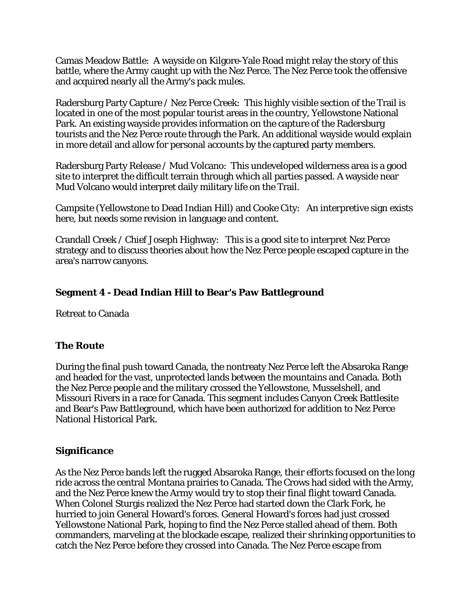Camas Meadow Battle: A wayside on Kilgore-Yale Road might relay the story of this battle, where the Army caught up with the Nez Perce. The Nez Perce took the offensive and acquired nearly all the Army's pack mules.

Radersburg Party Capture / Nez Perce Creek: This highly visible section of the Trail is located in one of the most popular tourist areas in the country, Yellowstone National Park. An existing wayside provides information on the capture of the Radersburg tourists and the Nez Perce route through the Park. An additional wayside would explain in more detail and allow for personal accounts by the captured party members.

Radersburg Party Release / Mud Volcano: This undeveloped wilderness area is a good site to interpret the difficult terrain through which all parties passed. A wayside near Mud Volcano would interpret daily military life on the Trail.

Campsite (Yellowstone to Dead Indian Hill) and Cooke City: An interpretive sign exists here, but needs some revision in language and content.

Crandall Creek / Chief Joseph Highway: This is a good site to interpret Nez Perce strategy and to discuss theories about how the Nez Perce people escaped capture in the area's narrow canyons.

# **Segment 4 - Dead Indian Hill to Bear's Paw Battleground**

Retreat to Canada

#### **The Route**

During the final push toward Canada, the nontreaty Nez Perce left the Absaroka Range and headed for the vast, unprotected lands between the mountains and Canada. Both the Nez Perce people and the military crossed the Yellowstone, Musselshell, and Missouri Rivers in a race for Canada. This segment includes Canyon Creek Battlesite and Bear's Paw Battleground, which have been authorized for addition to Nez Perce National Historical Park.

#### **Significance**

As the Nez Perce bands left the rugged Absaroka Range, their efforts focused on the long ride across the central Montana prairies to Canada. The Crows had sided with the Army, and the Nez Perce knew the Army would try to stop their final flight toward Canada. When Colonel Sturgis realized the Nez Perce had started down the Clark Fork, he hurried to join General Howard's forces. General Howard's forces had just crossed Yellowstone National Park, hoping to find the Nez Perce stalled ahead of them. Both commanders, marveling at the blockade escape, realized their shrinking opportunities to catch the Nez Perce before they crossed into Canada. The Nez Perce escape from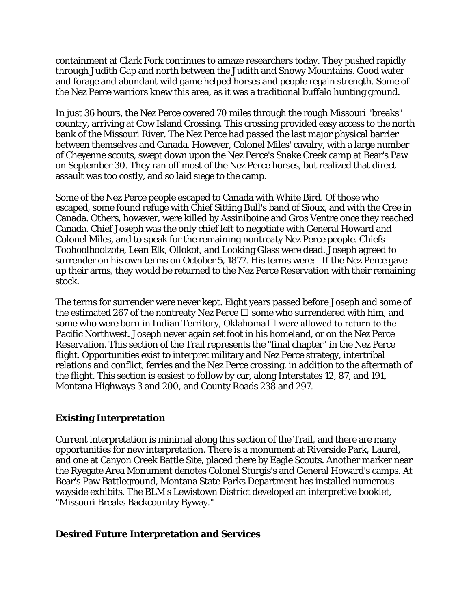containment at Clark Fork continues to amaze researchers today. They pushed rapidly through Judith Gap and north between the Judith and Snowy Mountains. Good water and forage and abundant wild game helped horses and people regain strength. Some of the Nez Perce warriors knew this area, as it was a traditional buffalo hunting ground.

In just 36 hours, the Nez Perce covered 70 miles through the rough Missouri "breaks" country, arriving at Cow Island Crossing. This crossing provided easy access to the north bank of the Missouri River. The Nez Perce had passed the last major physical barrier between themselves and Canada. However, Colonel Miles' cavalry, with a large number of Cheyenne scouts, swept down upon the Nez Perce's Snake Creek camp at Bear's Paw on September 30. They ran off most of the Nez Perce horses, but realized that direct assault was too costly, and so laid siege to the camp.

Some of the Nez Perce people escaped to Canada with White Bird. Of those who escaped, some found refuge with Chief Sitting Bull's band of Sioux, and with the Cree in Canada. Others, however, were killed by Assiniboine and Gros Ventre once they reached Canada. Chief Joseph was the only chief left to negotiate with General Howard and Colonel Miles, and to speak for the remaining nontreaty Nez Perce people. Chiefs Toohoolhoolzote, Lean Elk, Ollokot, and Looking Glass were dead. Joseph agreed to surrender on his own terms on October 5, 1877. His terms were: If the Nez Perce gave up their arms, they would be returned to the Nez Perce Reservation with their remaining stock.

The terms for surrender were never kept. Eight years passed before Joseph and some of the estimated 267 of the nontreaty Nez Perce  $\Box$  some who surrendered with him, and some who were born in Indian Territory, Oklahoma  $\Box$  were allowed to return to the Pacific Northwest. Joseph never again set foot in his homeland, or on the Nez Perce Reservation. This section of the Trail represents the "final chapter" in the Nez Perce flight. Opportunities exist to interpret military and Nez Perce strategy, intertribal relations and conflict, ferries and the Nez Perce crossing, in addition to the aftermath of the flight. This section is easiest to follow by car, along Interstates 12, 87, and 191, Montana Highways 3 and 200, and County Roads 238 and 297.

#### **Existing Interpretation**

Current interpretation is minimal along this section of the Trail, and there are many opportunities for new interpretation. There is a monument at Riverside Park, Laurel, and one at Canyon Creek Battle Site, placed there by Eagle Scouts. Another marker near the Ryegate Area Monument denotes Colonel Sturgis's and General Howard's camps. At Bear's Paw Battleground, Montana State Parks Department has installed numerous wayside exhibits. The BLM's Lewistown District developed an interpretive booklet, "Missouri Breaks Backcountry Byway."

#### **Desired Future Interpretation and Services**